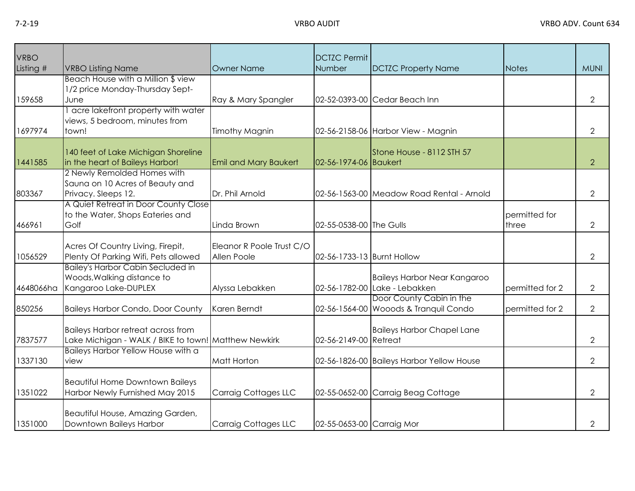| VRBO<br>Listing # | <b>VRBO Listing Name</b>                                                                          | Owner Name                               | <b>DCTZC Permit</b><br>Number | <b>DCTZC Property Name</b>                                           | <b>Notes</b>           | <b>MUNI</b>    |
|-------------------|---------------------------------------------------------------------------------------------------|------------------------------------------|-------------------------------|----------------------------------------------------------------------|------------------------|----------------|
| 159658            | Beach House with a Million \$ view<br>1/2 price Monday-Thursday Sept-<br>June                     | Ray & Mary Spangler                      |                               | 02-52-0393-00 Cedar Beach Inn                                        |                        | $\overline{2}$ |
| 1697974           | acre lakefront property with water<br>views, 5 bedroom, minutes from<br>town!                     | Timothy Magnin                           |                               | 02-56-2158-06 Harbor View - Magnin                                   |                        | $\overline{2}$ |
| 1441585           | 140 feet of Lake Michigan Shoreline<br>in the heart of Baileys Harbor!                            | <b>Emil and Mary Baukert</b>             | 02-56-1974-06 Baukert         | Stone House - 8112 STH 57                                            |                        | $\overline{2}$ |
| 803367            | 2 Newly Remolded Homes with<br>Sauna on 10 Acres of Beauty and<br>Privacy. Sleeps 12.             | Dr. Phil Arnold                          |                               | 02-56-1563-00 Meadow Road Rental - Arnold                            |                        | $\overline{2}$ |
| 466961            | A Quiet Retreat in Door County Close<br>to the Water, Shops Eateries and<br>Golf                  | Linda Brown                              | 02-55-0538-00 The Gulls       |                                                                      | permitted for<br>three | $\overline{2}$ |
| 1056529           | Acres Of Country Living, Firepit,<br>Plenty Of Parking Wifi, Pets allowed                         | Eleanor R Poole Trust C/O<br>Allen Poole | 02-56-1733-13 Burnt Hollow    |                                                                      |                        | $\overline{2}$ |
| 4648066ha         | <b>Bailey's Harbor Cabin Secluded in</b><br>Woods, Walking distance to<br>Kangaroo Lake-DUPLEX    | Alyssa Lebakken                          |                               | <b>Baileys Harbor Near Kangaroo</b><br>02-56-1782-00 Lake - Lebakken | permitted for 2        | $\mathbf{2}$   |
| 850256            | <b>Baileys Harbor Condo, Door County</b>                                                          | Karen Berndt                             |                               | Door County Cabin in the<br>02-56-1564-00 Wooods & Tranquil Condo    | permitted for 2        | $\overline{2}$ |
| 7837577           | <b>Baileys Harbor retreat across from</b><br>Lake Michigan - WALK / BIKE to town! Matthew Newkirk |                                          | 02-56-2149-00 Retreat         | <b>Baileys Harbor Chapel Lane</b>                                    |                        | $\overline{2}$ |
| 1337130           | Baileys Harbor Yellow House with a<br>view                                                        | Matt Horton                              |                               | 02-56-1826-00 Baileys Harbor Yellow House                            |                        | $\overline{2}$ |
| 1351022           | <b>Beautiful Home Downtown Baileys</b><br>Harbor Newly Furnished May 2015                         | Carraig Cottages LLC                     |                               | 02-55-0652-00 Carraig Beag Cottage                                   |                        | $\overline{2}$ |
| 1351000           | Beautiful House, Amazing Garden,<br>Downtown Baileys Harbor                                       | Carraig Cottages LLC                     | 02-55-0653-00 Carraig Mor     |                                                                      |                        | $\overline{2}$ |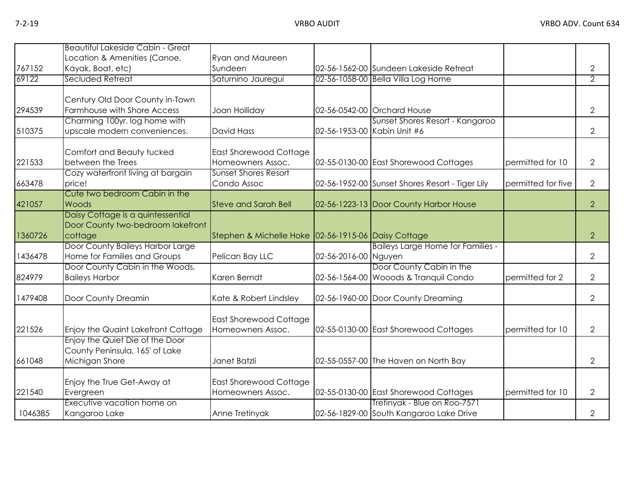|                 | <b>Beautiful Lakeside Cabin - Great</b>                           |                                                     |                      |                                                 |                    |                     |
|-----------------|-------------------------------------------------------------------|-----------------------------------------------------|----------------------|-------------------------------------------------|--------------------|---------------------|
|                 | Location & Amenities (Canoe,                                      | <b>Ryan and Maureen</b>                             |                      |                                                 |                    |                     |
| 767152<br>69122 | Kayak, Boat, etc)<br>Secluded Retreat                             | Sundeen                                             |                      | 02-56-1562-00 Sundeen Lakeside Retreat          |                    | 2<br>$\overline{2}$ |
|                 |                                                                   | Saturnino Jauregui                                  |                      | 02-56-1058-00 Bella Villa Log Home              |                    |                     |
|                 | Century Old Door County in-Town                                   |                                                     |                      |                                                 |                    |                     |
| 294539          | Farmhouse with Shore Access                                       | Joan Holliday                                       |                      | 02-56-0542-00 Orchard House                     |                    | $\overline{2}$      |
|                 | Charming 100yr. log home with                                     |                                                     |                      | Sunset Shores Resort - Kangaroo                 |                    |                     |
| 510375          | upscale modern conveniences.                                      | <b>David Hass</b>                                   |                      | 02-56-1953-00 Kabin Unit #6                     |                    | $\overline{2}$      |
|                 |                                                                   |                                                     |                      |                                                 |                    |                     |
| 221533          | Comfort and Beauty tucked<br>between the Trees                    | <b>East Shorewood Cottage</b><br>Homeowners Assoc.  |                      | 02-55-0130-00 East Shorewood Cottages           | permitted for 10   | $\overline{2}$      |
|                 | Cozy waterfront living at bargain                                 | <b>Sunset Shores Resort</b>                         |                      |                                                 |                    |                     |
| 663478          | price!                                                            | Condo Assoc                                         |                      | 02-56-1952-00 Sunset Shores Resort - Tiger Lily | permitted for five | $\overline{2}$      |
|                 | Cute two bedroom Cabin in the                                     |                                                     |                      |                                                 |                    |                     |
| 421057          | Woods                                                             | <b>Steve and Sarah Bell</b>                         |                      | 02-56-1223-13 Door County Harbor House          |                    | $\overline{2}$      |
|                 | Daisy Cottage is a quintessential                                 |                                                     |                      |                                                 |                    |                     |
|                 | Door County two-bedroom lakefront                                 |                                                     |                      |                                                 |                    |                     |
| 1360726         | cottage                                                           | Stephen & Michelle Hoke 02-56-1915-06 Daisy Cottage |                      |                                                 |                    | $\overline{2}$      |
|                 | Door County Baileys Harbor Large                                  |                                                     |                      | <b>Baileys Large Home for Families -</b>        |                    |                     |
| 1436478         | Home for Families and Groups<br>Door County Cabin in the Woods,   | Pelican Bay LLC                                     | 02-56-2016-00 Nguyen | Door County Cabin in the                        |                    | $\mathbf{2}$        |
| 824979          | <b>Baileys Harbor</b>                                             | Karen Berndt                                        |                      | 02-56-1564-00 Wooods & Tranquil Condo           | permitted for 2    | $\overline{2}$      |
|                 |                                                                   |                                                     |                      |                                                 |                    |                     |
| 1479408         | Door County Dreamin                                               | Kate & Robert Lindsley                              |                      | 02-56-1960-00 Door County Dreaming              |                    | $\overline{2}$      |
|                 |                                                                   |                                                     |                      |                                                 |                    |                     |
|                 |                                                                   | East Shorewood Cottage                              |                      |                                                 |                    |                     |
| 221526          | <b>Enjoy the Quaint Lakefront Cottage</b>                         | Homeowners Assoc.                                   |                      | 02-55-0130-00 East Shorewood Cottages           | permitted for 10   | $\overline{2}$      |
|                 | Enjoy the Quiet Die of the Door<br>County Peninsula, 165' of Lake |                                                     |                      |                                                 |                    |                     |
| 661048          | Michigan Shore                                                    | Janet Batzli                                        |                      | 02-55-0557-00 The Haven on North Bay            |                    | $\overline{2}$      |
|                 |                                                                   |                                                     |                      |                                                 |                    |                     |
|                 | Enjoy the True Get-Away at                                        | <b>East Shorewood Cottage</b>                       |                      |                                                 |                    |                     |
| 221540          | Evergreen                                                         | Homeowners Assoc.                                   |                      | 02-55-0130-00 East Shorewood Cottages           | permitted for 10   | $\overline{2}$      |
|                 | Executive vacation home on                                        |                                                     |                      | Tretinyak - Blue on Roo-7571                    |                    |                     |
| 1046385         | Kangaroo Lake                                                     | Anne Tretinyak                                      |                      | 02-56-1829-00 South Kangaroo Lake Drive         |                    | $\overline{2}$      |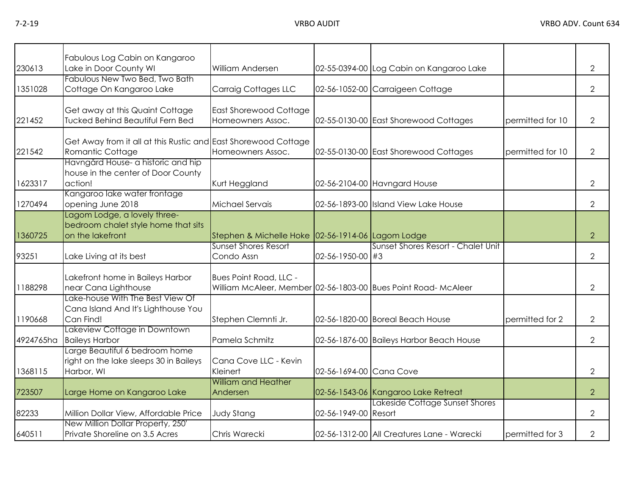| 230613    | Fabulous Log Cabin on Kangaroo<br>Lake in Door County WI                                | <b>William Andersen</b>                           |                         | 02-55-0394-00 Log Cabin on Kangaroo Lake                       |                  | $\overline{2}$ |
|-----------|-----------------------------------------------------------------------------------------|---------------------------------------------------|-------------------------|----------------------------------------------------------------|------------------|----------------|
| 1351028   | Fabulous New Two Bed, Two Bath<br>Cottage On Kangaroo Lake                              | Carraig Cottages LLC                              |                         | 02-56-1052-00 Carraigeen Cottage                               |                  | $\overline{2}$ |
| 221452    | Get away at this Quaint Cottage<br><b>Tucked Behind Beautiful Fern Bed</b>              | East Shorewood Cottage<br>Homeowners Assoc.       |                         | 02-55-0130-00 East Shorewood Cottages                          | permitted for 10 | $\overline{2}$ |
| 221542    | Get Away from it all at this Rustic and East Shorewood Cottage<br>Romantic Cottage      | Homeowners Assoc.                                 |                         | 02-55-0130-00 East Shorewood Cottages                          | permitted for 10 | $\overline{2}$ |
| 1623317   | Havngård House- a historic and hip<br>house in the center of Door County<br>action!     | Kurt Heggland                                     |                         | 02-56-2104-00 Havngard House                                   |                  | $\overline{2}$ |
| 1270494   | Kangaroo lake water frontage<br>opening June 2018                                       | Michael Servais                                   |                         | 02-56-1893-00 Island View Lake House                           |                  | $\overline{2}$ |
| 1360725   | Lagom Lodge, a lovely three-<br>bedroom chalet style home that sits<br>on the lakefront | Stephen & Michelle Hoke 02-56-1914-06 Lagom Lodge |                         |                                                                |                  | $\overline{2}$ |
| 93251     | Lake Living at its best                                                                 | <b>Sunset Shores Resort</b><br>Condo Assn         | 02-56-1950-00 #3        | Sunset Shores Resort - Chalet Unit                             |                  | $\overline{2}$ |
| 1188298   | Lakefront home in Baileys Harbor<br>near Cana Lighthouse                                | Bues Point Road, LLC -                            |                         | William McAleer, Member 02-56-1803-00 Bues Point Road- McAleer |                  | $\overline{2}$ |
| 1190668   | Lake-house With The Best View Of<br>Cana Island And It's Lighthouse You<br>Can Find!    | Stephen Clemnti Jr.                               |                         | 02-56-1820-00 Boreal Beach House                               | permitted for 2  | $\overline{2}$ |
| 4924765ha | Lakeview Cottage in Downtown<br><b>Baileys Harbor</b>                                   | Pamela Schmitz                                    |                         | 02-56-1876-00 Baileys Harbor Beach House                       |                  | $\overline{2}$ |
| 1368115   | Large Beautiful 6 bedroom home<br>right on the lake sleeps 30 in Baileys<br>Harbor, WI  | Cana Cove LLC - Kevin<br>Kleinert                 | 02-56-1694-00 Cana Cove |                                                                |                  | $\overline{2}$ |
| 723507    | Large Home on Kangaroo Lake                                                             | <b>William and Heather</b><br>Andersen            |                         | 02-56-1543-06 Kangaroo Lake Retreat                            |                  | $\overline{2}$ |
| 82233     | Million Dollar View, Affordable Price                                                   | <b>Judy Stang</b>                                 | 02-56-1949-00 Resort    | Lakeside Cottage Sunset Shores                                 |                  | $\overline{2}$ |
| 640511    | New Million Dollar Property, 250'<br>Private Shoreline on 3.5 Acres                     | Chris Warecki                                     |                         | 02-56-1312-00 All Creatures Lane - Warecki                     | permitted for 3  | $\overline{2}$ |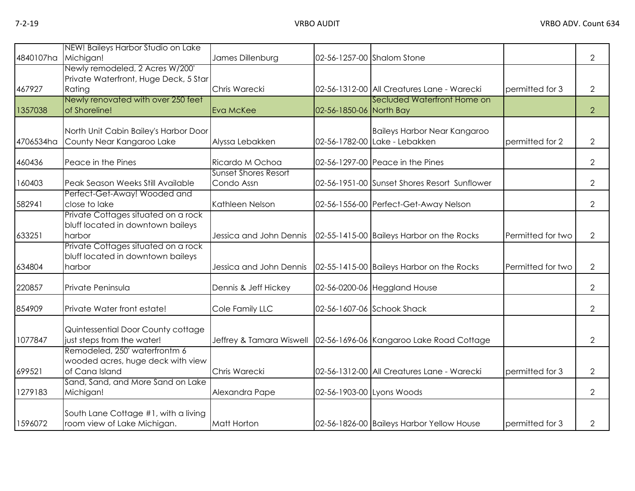| 4840107ha | NEW! Baileys Harbor Studio on Lake<br>Michigan!                                      | James Dillenburg                          | 02-56-1257-00 Shalom Stone |                                                                       |                   | $\overline{2}$ |
|-----------|--------------------------------------------------------------------------------------|-------------------------------------------|----------------------------|-----------------------------------------------------------------------|-------------------|----------------|
| 467927    | Newly remodeled, 2 Acres W/200'<br>Private Waterfront, Huge Deck, 5 Star<br>Rating   | Chris Warecki                             |                            | 02-56-1312-00 All Creatures Lane - Warecki                            | permitted for 3   | $\overline{2}$ |
| 1357038   | Newly renovated with over 250 feet<br>of Shoreline!                                  | Eva McKee                                 | 02-56-1850-06 North Bay    | Secluded Waterfront Home on                                           |                   | $\overline{2}$ |
| 4706534ha | North Unit Cabin Bailey's Harbor Door<br>County Near Kangaroo Lake                   | Alyssa Lebakken                           |                            | Baileys Harbor Near Kangaroo<br>02-56-1782-00 Lake - Lebakken         | permitted for 2   | $\overline{2}$ |
| 460436    | Peace in the Pines                                                                   | Ricardo M Ochoa                           |                            | 02-56-1297-00 Peace in the Pines                                      |                   | $\overline{2}$ |
| 160403    | Peak Season Weeks Still Available                                                    | <b>Sunset Shores Resort</b><br>Condo Assn |                            | 02-56-1951-00 Sunset Shores Resort Sunflower                          |                   | $\overline{2}$ |
| 582941    | Perfect-Get-Away! Wooded and<br>close to lake                                        | Kathleen Nelson                           |                            | 02-56-1556-00 Perfect-Get-Away Nelson                                 |                   | $\overline{2}$ |
| 633251    | Private Cottages situated on a rock<br>bluff located in downtown baileys<br>harbor   | Jessica and John Dennis                   |                            | 02-55-1415-00 Baileys Harbor on the Rocks                             | Permitted for two | $\mathbf{2}$   |
| 634804    | Private Cottages situated on a rock<br>bluff located in downtown baileys<br>harbor   | Jessica and John Dennis                   |                            | 02-55-1415-00 Baileys Harbor on the Rocks                             | Permitted for two | $\mathbf{2}$   |
| 220857    | Private Peninsula                                                                    | Dennis & Jeff Hickey                      |                            | 02-56-0200-06 Heggland House                                          |                   | $\overline{2}$ |
| 854909    | Private Water front estate!                                                          | Cole Family LLC                           |                            | 02-56-1607-06 Schook Shack                                            |                   | $\overline{2}$ |
| 1077847   | Quintessential Door County cottage<br>just steps from the water!                     |                                           |                            | Jeffrey & Tamara Wiswell   02-56-1696-06   Kangaroo Lake Road Cottage |                   | $\overline{2}$ |
| 699521    | Remodeled, 250' waterfrontm 6<br>wooded acres, huge deck with view<br>of Cana Island | Chris Warecki                             |                            | 02-56-1312-00 All Creatures Lane - Warecki                            | permitted for 3   | $\overline{2}$ |
| 1279183   | Sand, Sand, and More Sand on Lake<br>Michigan!                                       | Alexandra Pape                            | 02-56-1903-00 Lyons Woods  |                                                                       |                   | $\overline{2}$ |
| 1596072   | South Lane Cottage #1, with a living<br>room view of Lake Michigan.                  | Matt Horton                               |                            | 02-56-1826-00 Baileys Harbor Yellow House                             | permitted for 3   | $\mathbf{2}$   |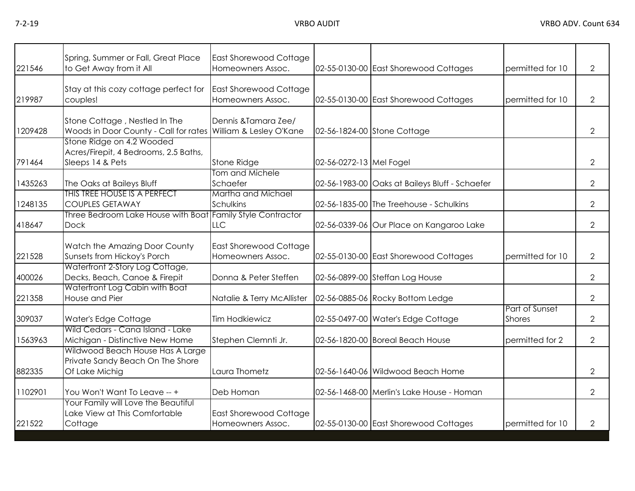| 221546  | Spring, Summer or Fall, Great Place<br>to Get Away from it All | East Shorewood Cottage<br>Homeowners Assoc. |                         | 02-55-0130-00 East Shorewood Cottages          | permitted for 10                | $\overline{2}$ |
|---------|----------------------------------------------------------------|---------------------------------------------|-------------------------|------------------------------------------------|---------------------------------|----------------|
|         |                                                                |                                             |                         |                                                |                                 |                |
|         | Stay at this cozy cottage perfect for                          | <b>East Shorewood Cottage</b>               |                         |                                                |                                 |                |
| 219987  | couples!                                                       | Homeowners Assoc.                           |                         | 02-55-0130-00 East Shorewood Cottages          | permitted for 10                | $\overline{2}$ |
|         |                                                                |                                             |                         |                                                |                                 |                |
|         | Stone Cottage, Nestled In The                                  | Dennis & Tamara Zee/                        |                         |                                                |                                 |                |
| 1209428 | Woods in Door County - Call for rates William & Lesley O'Kane  |                                             |                         | 02-56-1824-00 Stone Cottage                    |                                 | $\overline{2}$ |
|         | Stone Ridge on 4.2 Wooded                                      |                                             |                         |                                                |                                 |                |
|         | Acres/Firepit, 4 Bedrooms, 2.5 Baths,                          |                                             |                         |                                                |                                 |                |
| 791464  | Sleeps 14 & Pets                                               | Stone Ridge<br>Tom and Michele              | 02-56-0272-13 Mel Fogel |                                                |                                 | $\overline{2}$ |
| 1435263 | The Oaks at Baileys Bluff                                      | Schaefer                                    |                         | 02-56-1983-00 Oaks at Baileys Bluff - Schaefer |                                 | $\overline{2}$ |
|         | THIS TREE HOUSE IS A PERFECT                                   | Martha and Michael                          |                         |                                                |                                 |                |
| 1248135 | <b>COUPLES GETAWAY</b>                                         | Schulkins                                   |                         | 02-56-1835-00 The Treehouse - Schulkins        |                                 | $\overline{2}$ |
|         | Three Bedroom Lake House with Boat Family Style Contractor     |                                             |                         |                                                |                                 |                |
| 418647  | <b>Dock</b>                                                    | <b>LLC</b>                                  |                         | 02-56-0339-06 Our Place on Kangaroo Lake       |                                 | $\overline{2}$ |
|         |                                                                |                                             |                         |                                                |                                 |                |
|         | Watch the Amazing Door County                                  | East Shorewood Cottage                      |                         |                                                |                                 |                |
| 221528  | Sunsets from Hickoy's Porch                                    | Homeowners Assoc.                           |                         | 02-55-0130-00 East Shorewood Cottages          | permitted for 10                | $\overline{2}$ |
|         | Waterfront 2-Story Log Cottage,                                |                                             |                         |                                                |                                 |                |
| 400026  | Decks, Beach, Canoe & Firepit                                  | Donna & Peter Steffen                       |                         | 02-56-0899-00 Steffan Log House                |                                 | $\overline{2}$ |
|         | Waterfront Log Cabin with Boat                                 |                                             |                         |                                                |                                 |                |
| 221358  | House and Pier                                                 | Natalie & Terry McAllister                  |                         | 02-56-0885-06 Rocky Bottom Ledge               |                                 | $\overline{2}$ |
| 309037  | Water's Edge Cottage                                           | <b>Tim Hodkiewicz</b>                       |                         | 02-55-0497-00 Water's Edge Cottage             | Part of Sunset<br><b>Shores</b> | $\overline{2}$ |
|         | Wild Cedars - Cana Island - Lake                               |                                             |                         |                                                |                                 |                |
| 1563963 | Michigan - Distinctive New Home                                | Stephen Clemnti Jr.                         |                         | 02-56-1820-00 Boreal Beach House               | permitted for 2                 | $\overline{2}$ |
|         | Wildwood Beach House Has A Large                               |                                             |                         |                                                |                                 |                |
|         | Private Sandy Beach On The Shore                               |                                             |                         |                                                |                                 |                |
| 882335  | Of Lake Michig                                                 | Laura Thometz                               |                         | 02-56-1640-06 Wildwood Beach Home              |                                 | $\overline{2}$ |
|         |                                                                |                                             |                         |                                                |                                 |                |
| 1102901 | You Won't Want To Leave -- +                                   | Deb Homan                                   |                         | 02-56-1468-00 Merlin's Lake House - Homan      |                                 | $\overline{2}$ |
|         | Your Family will Love the Beautiful                            |                                             |                         |                                                |                                 |                |
|         | Lake View at This Comfortable                                  | <b>East Shorewood Cottage</b>               |                         |                                                |                                 |                |
| 221522  | Cottage                                                        | Homeowners Assoc.                           |                         | 02-55-0130-00 East Shorewood Cottages          | permitted for 10                | $\overline{2}$ |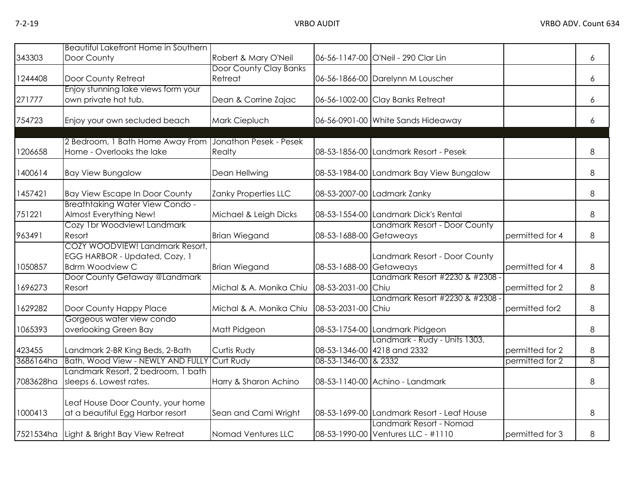|           | Beautiful Lakefront Home in Southern                                                       |                                   |                         |                                                               |                 |   |
|-----------|--------------------------------------------------------------------------------------------|-----------------------------------|-------------------------|---------------------------------------------------------------|-----------------|---|
| 343303    | Door County                                                                                | Robert & Mary O'Neil              |                         | 06-56-1147-00 O'Neil - 290 Clar Lin                           |                 | 6 |
| 1244408   | Door County Retreat                                                                        | Door County Clay Banks<br>Retreat |                         | 06-56-1866-00 Darelynn M Louscher                             |                 | 6 |
| 271777    | Enjoy stunning lake views form your<br>own private hot tub.                                | Dean & Corrine Zajac              |                         | 06-56-1002-00 Clay Banks Retreat                              |                 | 6 |
| 754723    | Enjoy your own secluded beach                                                              | Mark Ciepluch                     |                         | 06-56-0901-00 White Sands Hideaway                            |                 | 6 |
| 1206658   | 2 Bedroom, 1 Bath Home Away From<br>Home - Overlooks the lake                              | Jonathon Pesek - Pesek<br>Realty  |                         | 08-53-1856-00 Landmark Resort - Pesek                         |                 | 8 |
| 1400614   | <b>Bay View Bungalow</b>                                                                   | Dean Hellwing                     |                         | 08-53-1984-00 Landmark Bay View Bungalow                      |                 | 8 |
| 1457421   | <b>Bay View Escape In Door County</b>                                                      | Zanky Properties LLC              |                         | 08-53-2007-00 Ladmark Zanky                                   |                 | 8 |
| 751221    | <b>Breathtaking Water View Condo -</b><br>Almost Everything New!                           | Michael & Leigh Dicks             |                         | 08-53-1554-00 Landmark Dick's Rental                          |                 | 8 |
| 963491    | Cozy 1br Woodview! Landmark<br>Resort                                                      | <b>Brian Wiegand</b>              | 08-53-1688-00 Getaweays | Landmark Resort - Door County                                 | permitted for 4 | 8 |
| 1050857   | COZY WOODVIEW! Landmark Resort,<br>EGG HARBOR - Updated, Cozy, 1<br><b>Bdrm Woodview C</b> | <b>Brian Wiegand</b>              | 08-53-1688-00 Getaweays | Landmark Resort - Door County                                 | permitted for 4 | 8 |
| 1696273   | Door County Getaway @Landmark<br>Resort                                                    | Michal & A. Monika Chiu           | 08-53-2031-00 Chiu      | Landmark Resort #2230 & #2308 -                               | permitted for 2 | 8 |
| 1629282   | Door County Happy Place                                                                    | Michal & A. Monika Chiu           | 08-53-2031-00 Chiu      | Landmark Resort #2230 & #2308 -                               | permitted for2  | 8 |
| 1065393   | Gorgeous water view condo<br>overlooking Green Bay                                         | Matt Pidgeon                      |                         | 08-53-1754-00 Landmark Pidgeon                                |                 | 8 |
| 423455    | Landmark 2-BR King Beds, 2-Bath                                                            | Curtis Rudy                       |                         | Landmark - Rudy - Units 1303,<br>08-53-1346-00 4218 and 2332  | permitted for 2 | 8 |
| 3686164ha | Bath, Wood View - NEWLY AND FULLY                                                          | Curt Rudy                         | 08-53-1346-00 & 2332    |                                                               | permitted for 2 | 8 |
| 7083628ha | Landmark Resort, 2 bedroom, 1 bath<br>sleeps 6. Lowest rates.                              | Harry & Sharon Achino             |                         | 08-53-1140-00 Achino - Landmark                               |                 | 8 |
| 1000413   | Leaf House Door County, your home<br>at a beautiful Egg Harbor resort                      | Sean and Cami Wright              |                         | 08-53-1699-00 Landmark Resort - Leaf House                    |                 | 8 |
|           | 7521534ha Light & Bright Bay View Retreat                                                  | Nomad Ventures LLC                |                         | Landmark Resort - Nomad<br>08-53-1990-00 Ventures LLC - #1110 | permitted for 3 | 8 |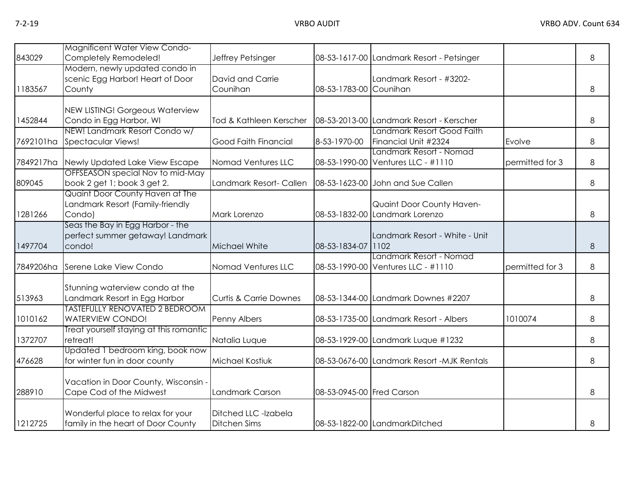| 843029    | Magnificent Water View Condo-<br>Completely Remodeled!                         | Jeffrey Petsinger                           |                           | 08-53-1617-00 Landmark Resort - Petsinger                     |                 | 8 |
|-----------|--------------------------------------------------------------------------------|---------------------------------------------|---------------------------|---------------------------------------------------------------|-----------------|---|
| 1183567   | Modern, newly updated condo in<br>scenic Egg Harbor! Heart of Door<br>County   | David and Carrie<br>Counihan                | 08-53-1783-00 Counihan    | Landmark Resort - #3202-                                      |                 | 8 |
| 1452844   | NEW LISTING! Gorgeous Waterview<br>Condo in Egg Harbor, WI                     | Tod & Kathleen Kerscher                     |                           | 08-53-2013-00 Landmark Resort - Kerscher                      |                 | 8 |
| 7692101ha | NEW! Landmark Resort Condo w/<br>Spectacular Views!                            | Good Faith Financial                        | 8-53-1970-00              | Landmark Resort Good Faith<br>Financial Unit #2324            | Evolve          | 8 |
| 7849217ha | Newly Updated Lake View Escape                                                 | Nomad Ventures LLC                          |                           | Landmark Resort - Nomad<br>08-53-1990-00 Ventures LLC - #1110 | permitted for 3 | 8 |
| 809045    | OFFSEASON special Nov to mid-May<br>book 2 get 1; book 3 get 2.                | Landmark Resort- Callen                     |                           | 08-53-1623-00 John and Sue Callen                             |                 | 8 |
| 1281266   | Quaint Door County Haven at The<br>Landmark Resort (Family-friendly<br>Condo)  | Mark Lorenzo                                |                           | Quaint Door County Haven-<br>08-53-1832-00 Landmark Lorenzo   |                 | 8 |
| 1497704   | Seas the Bay in Egg Harbor - the<br>perfect summer getaway! Landmark<br>condo! | Michael White                               | 08-53-1834-07 1102        | Landmark Resort - White - Unit                                |                 | 8 |
| 7849206ha | Serene Lake View Condo                                                         | Nomad Ventures LLC                          |                           | Landmark Resort - Nomad<br>08-53-1990-00 Ventures LLC - #1110 | permitted for 3 | 8 |
| 513963    | Stunning waterview condo at the<br>Landmark Resort in Egg Harbor               | <b>Curtis &amp; Carrie Downes</b>           |                           | 08-53-1344-00 Landmark Downes #2207                           |                 | 8 |
| 1010162   | <b>TASTEFULLY RENOVATED 2 BEDROOM</b><br><b>WATERVIEW CONDO!</b>               | Penny Albers                                |                           | 08-53-1735-00 Landmark Resort - Albers                        | 1010074         | 8 |
| 1372707   | Treat yourself staying at this romantic<br>retreat!                            | Natalia Luque                               |                           | 08-53-1929-00 Landmark Luque #1232                            |                 | 8 |
| 476628    | Updated 1 bedroom king, book now<br>for winter fun in door county              | Michael Kostiuk                             |                           | 08-53-0676-00 Landmark Resort -MJK Rentals                    |                 | 8 |
| 288910    | Vacation in Door County, Wisconsin -<br>Cape Cod of the Midwest                | Landmark Carson                             | 08-53-0945-00 Fred Carson |                                                               |                 | 8 |
| 1212725   | Wonderful place to relax for your<br>family in the heart of Door County        | Ditched LLC -Izabela<br><b>Ditchen Sims</b> |                           | 08-53-1822-00 LandmarkDitched                                 |                 | 8 |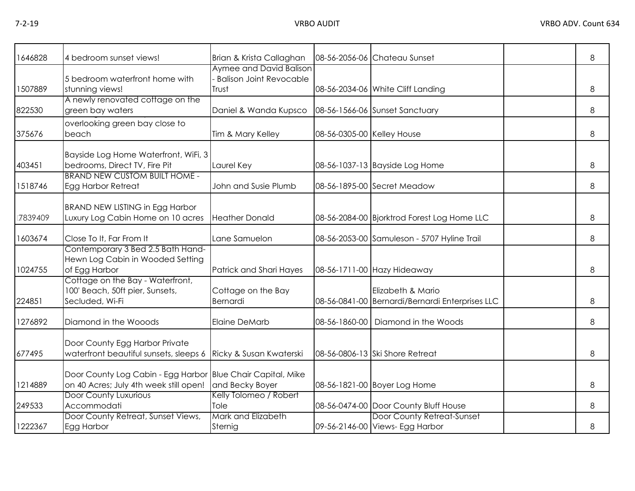| 1646828 | 4 bedroom sunset views!                                                                               | Brian & Krista Callaghan                                           |                            | 08-56-2056-06 Chateau Sunset                                         | 8 |
|---------|-------------------------------------------------------------------------------------------------------|--------------------------------------------------------------------|----------------------------|----------------------------------------------------------------------|---|
| 1507889 | 5 bedroom waterfront home with<br>stunning views!<br>A newly renovated cottage on the                 | Aymee and David Balison<br><b>Balison Joint Revocable</b><br>Trust |                            | 08-56-2034-06 White Cliff Landing                                    | 8 |
| 822530  | green bay waters                                                                                      | Daniel & Wanda Kupsco                                              |                            | 08-56-1566-06 Sunset Sanctuary                                       | 8 |
| 375676  | overlooking green bay close to<br>beach                                                               | Tim & Mary Kelley                                                  | 08-56-0305-00 Kelley House |                                                                      | 8 |
| 403451  | Bayside Log Home Waterfront, WiFi, 3<br>bedrooms, Direct TV, Fire Pit                                 | Laurel Key                                                         |                            | 08-56-1037-13 Bayside Log Home                                       | 8 |
| 1518746 | <b>BRAND NEW CUSTOM BUILT HOME -</b><br>Egg Harbor Retreat                                            | John and Susie Plumb                                               |                            | 08-56-1895-00 Secret Meadow                                          | 8 |
| 7839409 | <b>BRAND NEW LISTING in Egg Harbor</b><br>Luxury Log Cabin Home on 10 acres                           | <b>Heather Donald</b>                                              |                            | 08-56-2084-00 Bjorktrod Forest Log Home LLC                          | 8 |
| 1603674 | Close To It, Far From It                                                                              | Lane Samuelon                                                      |                            | 08-56-2053-00 Samuleson - 5707 Hyline Trail                          | 8 |
| 1024755 | Contemporary 3 Bed 2.5 Bath Hand-<br>Hewn Log Cabin in Wooded Setting<br>of Egg Harbor                | Patrick and Shari Hayes                                            |                            | 08-56-1711-00 Hazy Hideaway                                          | 8 |
| 224851  | Cottage on the Bay - Waterfront,<br>100' Beach, 50ft pier, Sunsets,<br>Secluded, Wi-Fi                | Cottage on the Bay<br>Bernardi                                     |                            | Elizabeth & Mario<br>08-56-0841-00 Bernardi/Bernardi Enterprises LLC | 8 |
| 1276892 | Diamond in the Wooods                                                                                 | <b>Elaine DeMarb</b>                                               | 08-56-1860-00              | Diamond in the Woods                                                 | 8 |
| 677495  | Door County Egg Harbor Private<br>waterfront beautiful sunsets, sleeps 6 Ricky & Susan Kwaterski      |                                                                    |                            | 08-56-0806-13 Ski Shore Retreat                                      | 8 |
| 1214889 | Door County Log Cabin - Egg Harbor Blue Chair Capital, Mike<br>on 40 Acres; July 4th week still open! | and Becky Boyer                                                    |                            | 08-56-1821-00 Boyer Log Home                                         | 8 |
| 249533  | <b>Door County Luxurious</b><br>Accommodati                                                           | Kelly Tolomeo / Robert<br>Tole                                     |                            | 08-56-0474-00 Door County Bluff House                                | 8 |
| 1222367 | Door County Retreat, Sunset Views,<br>Egg Harbor                                                      | Mark and Elizabeth<br>Sternig                                      |                            | Door County Retreat-Sunset<br>09-56-2146-00 Views- Egg Harbor        | 8 |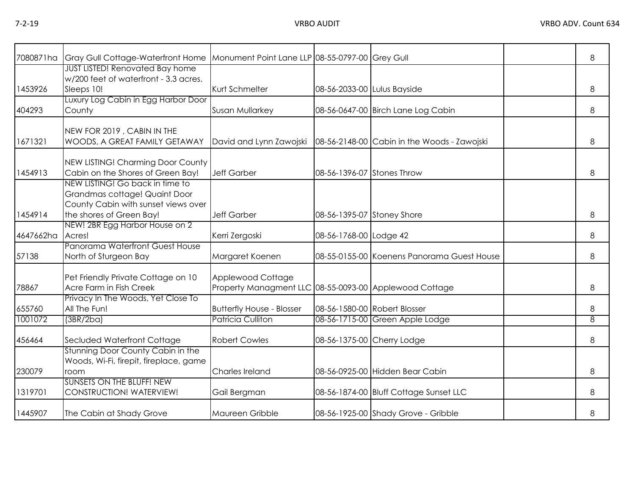| 7080871ha | Gray Gull Cottage-Waterfront Home   Monument Point Lane LLP 08-55-0797-00 Grey Gull                                                                                   |                                                                             |                             |                                             | 8 |
|-----------|-----------------------------------------------------------------------------------------------------------------------------------------------------------------------|-----------------------------------------------------------------------------|-----------------------------|---------------------------------------------|---|
| 1453926   | <b>JUST LISTED! Renovated Bay home</b><br>w/200 feet of waterfront - 3.3 acres.<br>Sleeps 10!                                                                         | Kurt Schmelter                                                              | 08-56-2033-00 Lulus Bayside |                                             | 8 |
| 404293    | Luxury Log Cabin in Egg Harbor Door<br>County                                                                                                                         | Susan Mullarkey                                                             |                             | 08-56-0647-00 Birch Lane Log Cabin          | 8 |
| 1671321   | NEW FOR 2019, CABIN IN THE<br>WOODS, A GREAT FAMILY GETAWAY                                                                                                           | David and Lynn Zawojski                                                     |                             | 08-56-2148-00 Cabin in the Woods - Zawojski | 8 |
| 1454913   | NEW LISTING! Charming Door County<br>Cabin on the Shores of Green Bay!                                                                                                | <b>Jeff Garber</b>                                                          | 08-56-1396-07 Stones Throw  |                                             | 8 |
| 1454914   | NEW LISTING! Go back in time to<br>Grandmas cottage! Quaint Door<br>County Cabin with sunset views over<br>the shores of Green Bay!<br>NEW! 2BR Egg Harbor House on 2 | <b>Jeff Garber</b>                                                          | 08-56-1395-07 Stoney Shore  |                                             | 8 |
| 4647662ha | Acres!                                                                                                                                                                | Kerri Zergoski                                                              | 08-56-1768-00 Lodge 42      |                                             | 8 |
| 57138     | Panorama Waterfront Guest House<br>North of Sturgeon Bay                                                                                                              | Margaret Koenen                                                             |                             | 08-55-0155-00 Koenens Panorama Guest House  | 8 |
| 78867     | Pet Friendly Private Cottage on 10<br>Acre Farm in Fish Creek                                                                                                         | Applewood Cottage<br>Property Managment LLC 08-55-0093-00 Applewood Cottage |                             |                                             | 8 |
| 655760    | Privacy In The Woods, Yet Close To<br>All The Fun!                                                                                                                    | <b>Butterfly House - Blosser</b>                                            |                             | 08-56-1580-00 Robert Blosser                | 8 |
| 1001072   | (3BR/2ba)                                                                                                                                                             | <b>Patricia Culliton</b>                                                    |                             | 08-56-1715-00 Green Apple Lodge             | 8 |
| 456464    | Secluded Waterfront Cottage                                                                                                                                           | <b>Robert Cowles</b>                                                        | 08-56-1375-00 Cherry Lodge  |                                             | 8 |
| 230079    | Stunning Door County Cabin in the<br>Woods, Wi-Fi, firepit, fireplace, game<br>room                                                                                   | Charles Ireland                                                             |                             | 08-56-0925-00 Hidden Bear Cabin             | 8 |
| 1319701   | <b>SUNSETS ON THE BLUFF! NEW</b><br><b>CONSTRUCTION! WATERVIEW!</b>                                                                                                   | Gail Bergman                                                                |                             | 08-56-1874-00 Bluff Cottage Sunset LLC      | 8 |
| 1445907   | The Cabin at Shady Grove                                                                                                                                              | Maureen Gribble                                                             |                             | 08-56-1925-00 Shady Grove - Gribble         | 8 |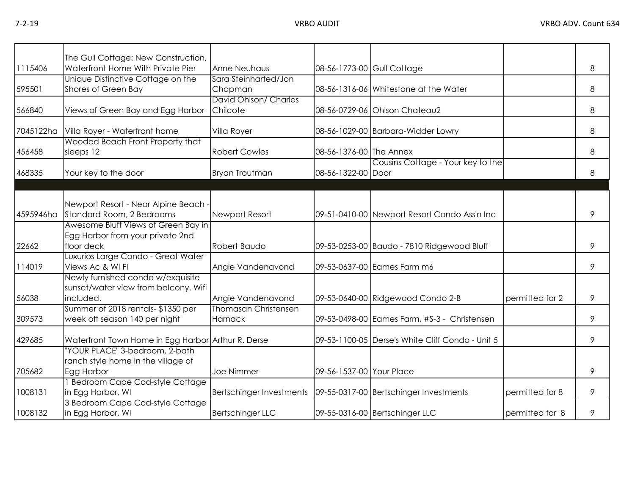|           | The Gull Cottage: New Construction,                                                    |                                        |                            |                                                  |                 |   |
|-----------|----------------------------------------------------------------------------------------|----------------------------------------|----------------------------|--------------------------------------------------|-----------------|---|
| 1115406   | Waterfront Home With Private Pier                                                      | <b>Anne Neuhaus</b>                    | 08-56-1773-00 Gull Cottage |                                                  |                 | 8 |
| 595501    | Unique Distinctive Cottage on the<br>Shores of Green Bay                               | Sara Steinharted/Jon<br>Chapman        |                            | 08-56-1316-06 Whitestone at the Water            |                 | 8 |
| 566840    | Views of Green Bay and Egg Harbor                                                      | David Ohlson/ Charles<br>Chilcote      |                            | 08-56-0729-06 Ohlson Chateau2                    |                 | 8 |
| 7045122ha | Villa Royer - Waterfront home                                                          | Villa Royer                            |                            | 08-56-1029-00 Barbara-Widder Lowry               |                 | 8 |
| 456458    | Wooded Beach Front Property that<br>sleeps 12                                          | <b>Robert Cowles</b>                   | 08-56-1376-00 The Annex    |                                                  |                 | 8 |
| 468335    | Your key to the door                                                                   | <b>Bryan Troutman</b>                  | 08-56-1322-00 Door         | Cousins Cottage - Your key to the                |                 | 8 |
|           |                                                                                        |                                        |                            |                                                  |                 |   |
| 4595946ha | Newport Resort - Near Alpine Beach -<br>Standard Room, 2 Bedrooms                      | Newport Resort                         |                            | 09-51-0410-00 Newport Resort Condo Ass'n Inc     |                 | 9 |
| 22662     | Awesome Bluff Views of Green Bay in<br>Egg Harbor from your private 2nd<br>floor deck  | Robert Baudo                           |                            | 09-53-0253-00 Baudo - 7810 Ridgewood Bluff       |                 | 9 |
| 114019    | Luxurios Large Condo - Great Water<br>Views Ac & WI FI                                 | Angie Vandenavond                      |                            | 09-53-0637-00 Eames Farm m6                      |                 | 9 |
| 56038     | Newly furnished condo w/exquisite<br>sunset/water view from balcony. Wifi<br>included. | Angie Vandenavond                      |                            | 09-53-0640-00 Ridgewood Condo 2-B                | permitted for 2 | 9 |
| 309573    | Summer of 2018 rentals-\$1350 per<br>week off season 140 per night                     | <b>Thomasan Christensen</b><br>Harnack |                            | 09-53-0498-00 Eames Farm, #S-3 - Christensen     |                 | 9 |
| 429685    | Waterfront Town Home in Egg Harbor Arthur R. Derse                                     |                                        |                            | 09-53-1100-05 Derse's White Cliff Condo - Unit 5 |                 | 9 |
| 705682    | "YOUR PLACE" 3-bedroom, 2-bath<br>ranch style home in the village of<br>Egg Harbor     | Joe Nimmer                             | 09-56-1537-00 Your Place   |                                                  |                 | 9 |
| 1008131   | 1 Bedroom Cape Cod-style Cottage<br>in Egg Harbor, WI                                  | <b>Bertschinger Investments</b>        |                            | 09-55-0317-00 Bertschinger Investments           | permitted for 8 | 9 |
| 1008132   | 3 Bedroom Cape Cod-style Cottage<br>in Egg Harbor, WI                                  | <b>Bertschinger LLC</b>                |                            | 09-55-0316-00 Bertschinger LLC                   | permitted for 8 | 9 |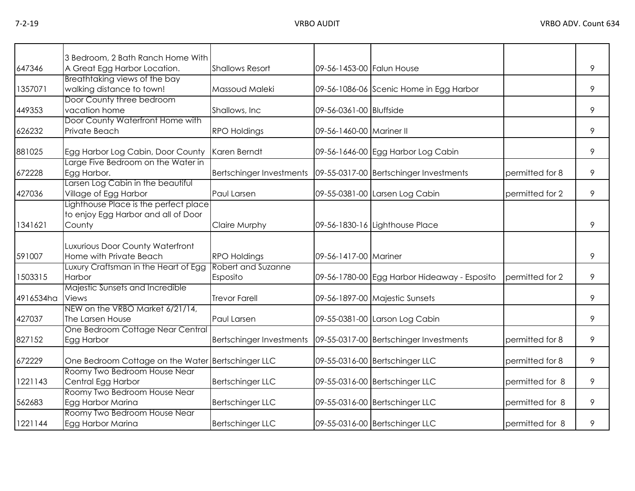|           | 3 Bedroom, 2 Bath Ranch Home With                                                      |                                |                           |                                              |                 |   |
|-----------|----------------------------------------------------------------------------------------|--------------------------------|---------------------------|----------------------------------------------|-----------------|---|
| 647346    | A Great Egg Harbor Location.                                                           | <b>Shallows Resort</b>         | 09-56-1453-00 Falun House |                                              |                 | 9 |
| 1357071   | Breathtaking views of the bay<br>walking distance to town!                             | Massoud Maleki                 |                           | 09-56-1086-06 Scenic Home in Egg Harbor      |                 | 9 |
| 449353    | Door County three bedroom<br>vacation home                                             | Shallows, Inc.                 | 09-56-0361-00 Bluffside   |                                              |                 | 9 |
| 626232    | Door County Waterfront Home with<br>Private Beach                                      | <b>RPO Holdings</b>            | 09-56-1460-00 Mariner II  |                                              |                 | 9 |
| 881025    | Egg Harbor Log Cabin, Door County                                                      | Karen Berndt                   |                           | 09-56-1646-00 Egg Harbor Log Cabin           |                 | 9 |
| 672228    | Large Five Bedroom on the Water in<br>Egg Harbor.                                      | Bertschinger Investments       |                           | 09-55-0317-00 Bertschinger Investments       | permitted for 8 | 9 |
| 427036    | Larsen Log Cabin in the beautiful<br>Village of Egg Harbor                             | Paul Larsen                    |                           | 09-55-0381-00 Larsen Log Cabin               | permitted for 2 | 9 |
| 1341621   | Lighthouse Place is the perfect place<br>to enjoy Egg Harbor and all of Door<br>County | <b>Claire Murphy</b>           |                           | 09-56-1830-16 Lighthouse Place               |                 | 9 |
| 591007    | Luxurious Door County Waterfront<br>Home with Private Beach                            | <b>RPO Holdings</b>            | 09-56-1417-00 Mariner     |                                              |                 | 9 |
| 1503315   | Luxury Craftsman in the Heart of Egg<br>Harbor                                         | Robert and Suzanne<br>Esposito |                           | 09-56-1780-00 Egg Harbor Hideaway - Esposito | permitted for 2 | 9 |
| 4916534ha | Majestic Sunsets and Incredible<br><b>Views</b>                                        | <b>Trevor Farell</b>           |                           | 09-56-1897-00 Majestic Sunsets               |                 | 9 |
| 427037    | NEW on the VRBO Market 6/21/14,<br>The Larsen House                                    | <b>Paul Larsen</b>             |                           | 09-55-0381-00 Larson Log Cabin               |                 | 9 |
| 827152    | One Bedroom Cottage Near Central<br>Egg Harbor                                         | Bertschinger Investments       |                           | 09-55-0317-00 Bertschinger Investments       | permitted for 8 | 9 |
| 672229    | One Bedroom Cottage on the Water Bertschinger LLC                                      |                                |                           | 09-55-0316-00 Bertschinger LLC               | permitted for 8 | 9 |
| 1221143   | Roomy Two Bedroom House Near<br>Central Egg Harbor                                     | <b>Bertschinger LLC</b>        |                           | 09-55-0316-00 Bertschinger LLC               | permitted for 8 | 9 |
| 562683    | Roomy Two Bedroom House Near<br>Egg Harbor Marina                                      | <b>Bertschinger LLC</b>        |                           | 09-55-0316-00 Bertschinger LLC               | permitted for 8 | 9 |
| 1221144   | Roomy Two Bedroom House Near<br>Egg Harbor Marina                                      | <b>Bertschinger LLC</b>        |                           | 09-55-0316-00 Bertschinger LLC               | permitted for 8 | 9 |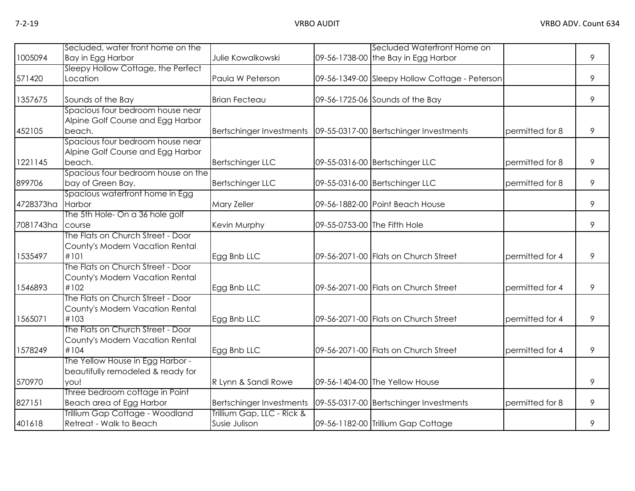|           | Secluded, water front home on the       |                                                                     |                              | Secluded Waterfront Home on                    |                 |   |
|-----------|-----------------------------------------|---------------------------------------------------------------------|------------------------------|------------------------------------------------|-----------------|---|
| 1005094   | Bay in Egg Harbor                       | Julie Kowalkowski                                                   |                              | 09-56-1738-00 the Bay in Egg Harbor            |                 | 9 |
|           | Sleepy Hollow Cottage, the Perfect      |                                                                     |                              |                                                |                 |   |
| 571420    | Location                                | Paula W Peterson                                                    |                              | 09-56-1349-00 Sleepy Hollow Cottage - Peterson |                 | 9 |
| 1357675   | Sounds of the Bay                       | <b>Brian Fecteau</b>                                                |                              | 09-56-1725-06 Sounds of the Bay                |                 | 9 |
|           | Spacious four bedroom house near        |                                                                     |                              |                                                |                 |   |
|           | Alpine Golf Course and Egg Harbor       |                                                                     |                              |                                                |                 |   |
| 452105    | beach.                                  | Bertschinger Investments   09-55-0317-00   Bertschinger Investments |                              |                                                | permitted for 8 | 9 |
|           | Spacious four bedroom house near        |                                                                     |                              |                                                |                 |   |
|           | Alpine Golf Course and Egg Harbor       |                                                                     |                              |                                                |                 |   |
| 1221145   | beach.                                  | <b>Bertschinger LLC</b>                                             |                              | 09-55-0316-00 Bertschinger LLC                 | permitted for 8 | 9 |
|           | Spacious four bedroom house on the      |                                                                     |                              |                                                |                 |   |
| 899706    | bay of Green Bay.                       | <b>Bertschinger LLC</b>                                             |                              | 09-55-0316-00 Bertschinger LLC                 | permitted for 8 | 9 |
|           | Spacious waterfront home in Egg         |                                                                     |                              |                                                |                 |   |
| 4728373ha | Harbor                                  | Mary Zeller                                                         |                              | 09-56-1882-00 Point Beach House                |                 | 9 |
|           | The 5th Hole- On a 36 hole golf         |                                                                     |                              |                                                |                 |   |
| 7081743ha | course                                  | Kevin Murphy                                                        | 09-55-0753-00 The Fifth Hole |                                                |                 | 9 |
|           | The Flats on Church Street - Door       |                                                                     |                              |                                                |                 |   |
|           | County's Modern Vacation Rental         |                                                                     |                              |                                                |                 |   |
| 1535497   | #101                                    | Egg Bnb LLC                                                         |                              | 09-56-2071-00 Flats on Church Street           | permitted for 4 | 9 |
|           | The Flats on Church Street - Door       |                                                                     |                              |                                                |                 |   |
|           | County's Modern Vacation Rental<br>#102 |                                                                     |                              |                                                |                 | 9 |
| 1546893   | The Flats on Church Street - Door       | Egg Bnb LLC                                                         |                              | 09-56-2071-00 Flats on Church Street           | permitted for 4 |   |
|           |                                         |                                                                     |                              |                                                |                 |   |
| 1565071   | County's Modern Vacation Rental<br>#103 | Egg Bnb LLC                                                         |                              | 09-56-2071-00 Flats on Church Street           | permitted for 4 | 9 |
|           | The Flats on Church Street - Door       |                                                                     |                              |                                                |                 |   |
|           | County's Modern Vacation Rental         |                                                                     |                              |                                                |                 |   |
| 1578249   | #104                                    | Egg Bnb LLC                                                         |                              | 09-56-2071-00 Flats on Church Street           | permitted for 4 | 9 |
|           | The Yellow House in Egg Harbor -        |                                                                     |                              |                                                |                 |   |
|           | beautifully remodeled & ready for       |                                                                     |                              |                                                |                 |   |
| 570970    | you!                                    | R Lynn & Sandi Rowe                                                 |                              | 09-56-1404-00 The Yellow House                 |                 | 9 |
|           | Three bedroom cottage in Point          |                                                                     |                              |                                                |                 |   |
| 827151    | Beach area of Egg Harbor                | <b>Bertschinger Investments</b>                                     |                              | 09-55-0317-00 Bertschinger Investments         | permitted for 8 | 9 |
|           | Trillium Gap Cottage - Woodland         | Trillium Gap, LLC - Rick &                                          |                              |                                                |                 |   |
| 401618    | Retreat - Walk to Beach                 | Susie Julison                                                       |                              | 09-56-1182-00 Trillium Gap Cottage             |                 | 9 |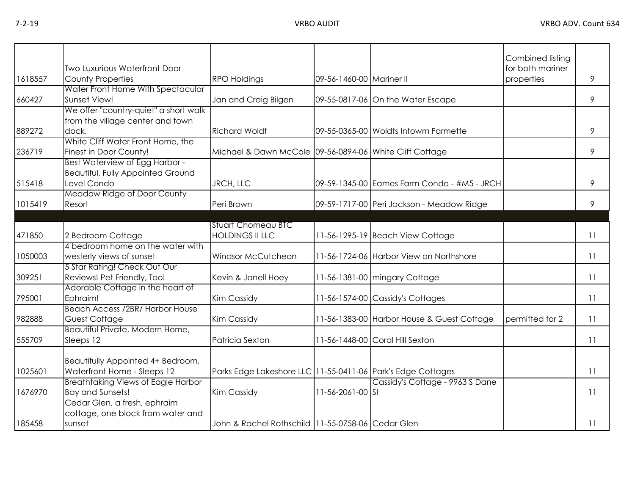| 1618557 | <b>Two Luxurious Waterfront Door</b><br><b>County Properties</b>                          | <b>RPO Holdings</b>                                         | 09-56-1460-00 Mariner II |                                             | Combined listing<br>for both mariner<br>properties | 9  |
|---------|-------------------------------------------------------------------------------------------|-------------------------------------------------------------|--------------------------|---------------------------------------------|----------------------------------------------------|----|
|         | Water Front Home With Spectacular                                                         |                                                             |                          |                                             |                                                    |    |
| 660427  | Sunset View!                                                                              | Jan and Craig Bilgen                                        |                          | 09-55-0817-06 On the Water Escape           |                                                    | 9  |
| 889272  | We offer "country-quiet" a short walk<br>from the village center and town<br>dock.        | <b>Richard Woldt</b>                                        |                          | 09-55-0365-00 Woldts Intowm Farmette        |                                                    | 9  |
| 236719  | White Cliff Water Front Home, the<br>Finest in Door County!                               | Michael & Dawn McCole 09-56-0894-06 White Cliff Cottage     |                          |                                             |                                                    | 9  |
| 515418  | Best Waterview of Egg Harbor -<br><b>Beautiful, Fully Appointed Ground</b><br>Level Condo | <b>JRCH, LLC</b>                                            |                          | 09-59-1345-00 Eames Farm Condo - #M5 - JRCH |                                                    | 9  |
| 1015419 | Meadow Ridge of Door County<br>Resort                                                     | Peri Brown                                                  |                          | 09-59-1717-00 Peri Jackson - Meadow Ridge   |                                                    | 9  |
|         |                                                                                           |                                                             |                          |                                             |                                                    |    |
| 471850  | 2 Bedroom Cottage                                                                         | <b>Stuart Chomeau BTC</b><br><b>HOLDINGS II LLC</b>         |                          | 11-56-1295-19 Beach View Cottage            |                                                    | 11 |
| 1050003 | 4 bedroom home on the water with<br>westerly views of sunset                              | Windsor McCutcheon                                          |                          | 11-56-1724-06 Harbor View on Northshore     |                                                    | 11 |
| 309251  | 5 Star Rating! Check Out Our<br>Reviews! Pet Friendly, Too!                               | Kevin & Janell Hoey                                         |                          | 11-56-1381-00 mingary Cottage               |                                                    | 11 |
| 795001  | Adorable Cottage in the heart of<br>Ephraim!                                              | Kim Cassidy                                                 |                          | 11-56-1574-00 Cassidy's Cottages            |                                                    | 11 |
| 982888  | Beach Access /2BR/ Harbor House<br>Guest Cottage                                          | Kim Cassidy                                                 |                          | 11-56-1383-00 Harbor House & Guest Cottage  | permitted for 2                                    | 11 |
| 555709  | Beautiful Private, Modern Home,<br>Sleeps 12                                              | Patricia Sexton                                             |                          | 11-56-1448-00 Coral Hill Sexton             |                                                    | 11 |
| 1025601 | Beautifully Appointed 4+ Bedroom,<br>Waterfront Home - Sleeps 12                          | Parks Edge Lakeshore LLC 11-55-0411-06 Park's Edge Cottages |                          |                                             |                                                    | 11 |
| 1676970 | <b>Breathtaking Views of Eagle Harbor</b><br><b>Bay and Sunsets!</b>                      | <b>Kim Cassidy</b>                                          | 11-56-2061-00 St         | Cassidy's Cottage - 9963 S Dane             |                                                    | 11 |
| 185458  | Cedar Glen, a fresh, ephraim<br>cottage, one block from water and<br>sunset               | John & Rachel Rothschild 11-55-0758-06 Cedar Glen           |                          |                                             |                                                    | 11 |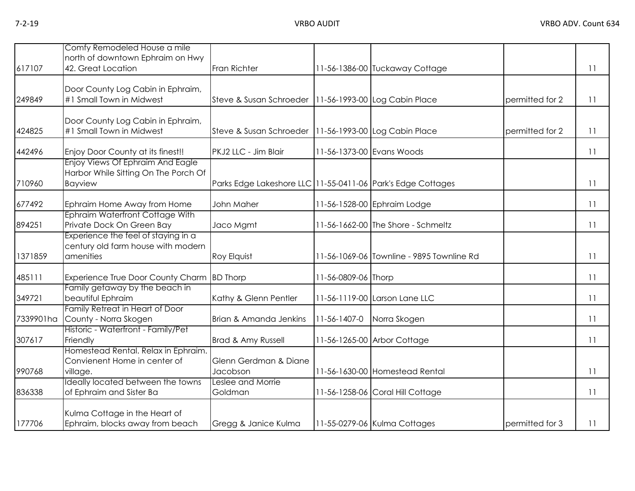| 617107    | Comfy Remodeled House a mile<br>north of downtown Ephraim on Hwy<br>42. Great Location     | Fran Richter                                                |                     | 11-56-1386-00 Tuckaway Cottage            |                 | 11 |
|-----------|--------------------------------------------------------------------------------------------|-------------------------------------------------------------|---------------------|-------------------------------------------|-----------------|----|
| 249849    | Door County Log Cabin in Ephraim,<br>#1 Small Town in Midwest                              | Steve & Susan Schroeder   11-56-1993-00 Log Cabin Place     |                     |                                           | permitted for 2 | 11 |
| 424825    | Door County Log Cabin in Ephraim,<br>#1 Small Town in Midwest                              | Steve & Susan Schroeder   11-56-1993-00 Log Cabin Place     |                     |                                           | permitted for 2 | 11 |
| 442496    | Enjoy Door County at its finest!!                                                          | PKJ2 LLC - Jim Blair                                        |                     | 11-56-1373-00 Evans Woods                 |                 | 11 |
| 710960    | Enjoy Views Of Ephraim And Eagle<br>Harbor While Sitting On The Porch Of<br><b>Bayview</b> | Parks Edge Lakeshore LLC 11-55-0411-06 Park's Edge Cottages |                     |                                           |                 | 11 |
| 677492    | Ephraim Home Away from Home                                                                | John Maher                                                  |                     | 11-56-1528-00 Ephraim Lodge               |                 | 11 |
| 894251    | Ephraim Waterfront Cottage With<br>Private Dock On Green Bay                               | Jaco Mgmt                                                   |                     | 11-56-1662-00 The Shore - Schmeltz        |                 | 11 |
| 1371859   | Experience the feel of staying in a<br>century old farm house with modern<br>amenities     | <b>Roy Elquist</b>                                          |                     | 11-56-1069-06 Townline - 9895 Townline Rd |                 | 11 |
| 485111    | Experience True Door County Charm                                                          | <b>BD</b> Thorp                                             | 11-56-0809-06 Thorp |                                           |                 | 11 |
| 349721    | Family getaway by the beach in<br>beautiful Ephraim                                        | Kathy & Glenn Pentler                                       |                     | 11-56-1119-00 Larson Lane LLC             |                 | 11 |
| 7339901ha | Family Retreat in Heart of Door<br>County - Norra Skogen                                   | Brian & Amanda Jenkins                                      | 11-56-1407-0        | Norra Skogen                              |                 | 11 |
| 307617    | Historic - Waterfront - Family/Pet<br>Friendly                                             | Brad & Amy Russell                                          |                     | 11-56-1265-00 Arbor Cottage               |                 | 11 |
| 990768    | Homestead Rental. Relax in Ephraim.<br>Convienent Home in center of<br>village.            | Glenn Gerdman & Diane<br>Jacobson                           |                     | 11-56-1630-00 Homestead Rental            |                 | 11 |
| 836338    | Ideally located between the towns<br>of Ephraim and Sister Ba                              | Leslee and Morrie<br>Goldman                                |                     | 11-56-1258-06 Coral Hill Cottage          |                 | 11 |
| 177706    | Kulma Cottage in the Heart of<br>Ephraim, blocks away from beach                           | Gregg & Janice Kulma                                        |                     | 11-55-0279-06 Kulma Cottages              | permitted for 3 | 11 |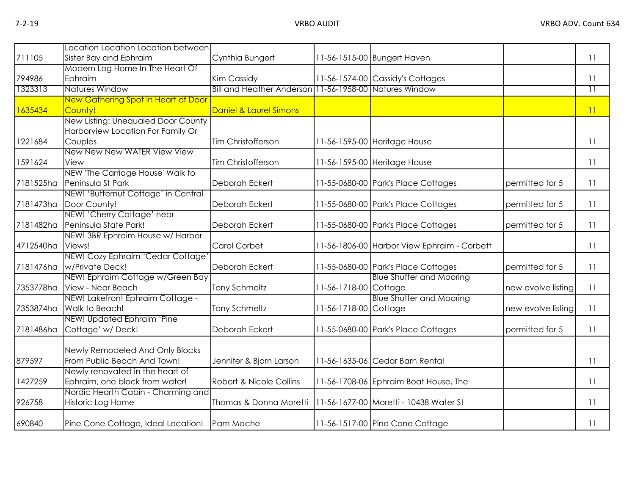|           | Location Location Location between  |                                                        |                       |                                             |                    |                 |
|-----------|-------------------------------------|--------------------------------------------------------|-----------------------|---------------------------------------------|--------------------|-----------------|
| 711105    | Sister Bay and Ephraim              | Cynthia Bungert                                        |                       | 11-56-1515-00 Bungert Haven                 |                    | 11              |
|           | Modern Log Home In The Heart Of     |                                                        |                       |                                             |                    |                 |
| 794986    | Ephraim                             | <b>Kim Cassidy</b>                                     |                       | 11-56-1574-00 Cassidy's Cottages            |                    | 11              |
| 1323313   | Natures Window                      | Bill and Heather Anderson 11-56-1958-00 Natures Window |                       |                                             |                    | $\overline{11}$ |
|           | New Gathering Spot in Heart of Door |                                                        |                       |                                             |                    |                 |
| 1635434   | County!                             | Daniel & Laurel Simons                                 |                       |                                             |                    | 11              |
|           | New Listing: Unequaled Door County  |                                                        |                       |                                             |                    |                 |
|           | Harborview Location For Family Or   |                                                        |                       |                                             |                    |                 |
| 1221684   | Couples                             | Tim Christofferson                                     |                       | 11-56-1595-00 Heritage House                |                    | 11              |
|           | New New New WATER View View         |                                                        |                       |                                             |                    |                 |
| 1591624   | View                                | Tim Christofferson                                     |                       | 11-56-1595-00 Heritage House                |                    | 11              |
|           | NEW 'The Carriage House' Walk to    |                                                        |                       |                                             |                    |                 |
| 7181525ha | Peninsula St Park                   | Deborah Eckert                                         |                       | 11-55-0680-00 Park's Place Cottages         | permitted for 5    | 11              |
|           | NEW! 'Butternut Cottage' in Central |                                                        |                       |                                             |                    |                 |
| 7181473ha | Door County!                        | <b>Deborah Eckert</b>                                  |                       | 11-55-0680-00 Park's Place Cottages         | permitted for 5    | 11              |
|           | NEW! 'Cherry Cottage' near          |                                                        |                       |                                             |                    |                 |
| 7181482ha | Peninsula State Park!               | Deborah Eckert                                         |                       | 11-55-0680-00 Park's Place Cottages         | permitted for 5    | 11              |
|           | NEW! 3BR Ephraim House w/ Harbor    |                                                        |                       |                                             |                    |                 |
| 4712540ha | Views!                              | <b>Carol Corbet</b>                                    |                       | 11-56-1806-00 Harbor View Ephraim - Corbett |                    | 11              |
|           | NEW! Cozy Ephraim 'Cedar Cottage'   |                                                        |                       |                                             |                    |                 |
| 7181476ha | w/Private Deck!                     | Deborah Eckert                                         |                       | 11-55-0680-00 Park's Place Cottages         | permitted for 5    | 11              |
|           | NEW! Ephraim Cottage w/Green Bay    |                                                        |                       | <b>Blue Shutter and Mooring</b>             |                    |                 |
| 7353778ha | View - Near Beach                   | <b>Tony Schmeltz</b>                                   | 11-56-1718-00 Cottage |                                             | new evolve listing | 11              |
|           | NEW! Lakefront Ephraim Cottage -    |                                                        |                       | <b>Blue Shutter and Mooring</b>             |                    |                 |
| 7353874ha | Walk to Beach!                      | <b>Tony Schmeltz</b>                                   | 11-56-1718-00 Cottage |                                             | new evolve listing | 11              |
|           | NEW! Updated Ephraim 'Pine          |                                                        |                       |                                             |                    |                 |
| 7181486ha | Cottage' w/Deck!                    | Deborah Eckert                                         |                       | 11-55-0680-00 Park's Place Cottages         | permitted for 5    | 11              |
|           |                                     |                                                        |                       |                                             |                    |                 |
|           | Newly Remodeled And Only Blocks     |                                                        |                       |                                             |                    |                 |
| 879597    | From Public Beach And Town!         | Jennifer & Bjorn Larson                                |                       | 11-56-1635-06 Cedar Barn Rental             |                    | 11              |
|           | Newly renovated in the heart of     |                                                        |                       |                                             |                    |                 |
| 1427259   | Ephraim, one block from water!      | Robert & Nicole Collins                                |                       | 11-56-1708-06 Ephraim Boat House, The       |                    | 11              |
|           | Nordic Hearth Cabin - Charming and  |                                                        |                       |                                             |                    |                 |
| 926758    | Historic Log Home                   | Thomas & Donna Moretti                                 |                       | 11-56-1677-00 Moretti - 10438 Water St      |                    | 11              |
|           |                                     |                                                        |                       |                                             |                    |                 |
| 690840    | Pine Cone Cottage, Ideal Location!  | Pam Mache                                              |                       | 11-56-1517-00 Pine Cone Cottage             |                    | 11              |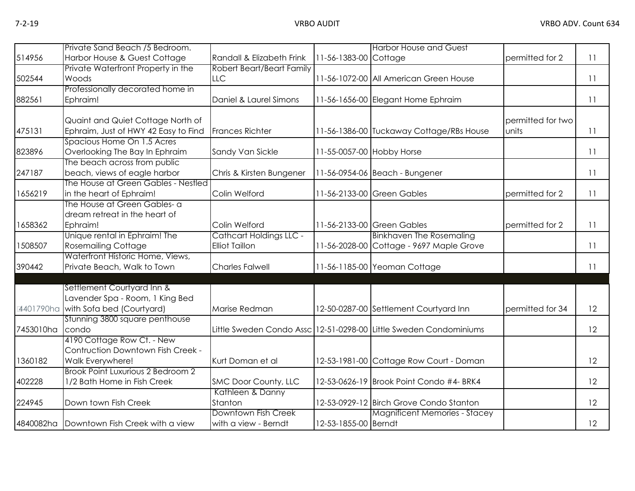|           | Private Sand Beach / 5 Bedroom.                                                                      |                                                  |                           | <b>Harbor House and Guest</b>                                               |                            |    |
|-----------|------------------------------------------------------------------------------------------------------|--------------------------------------------------|---------------------------|-----------------------------------------------------------------------------|----------------------------|----|
| 514956    | Harbor House & Guest Cottage                                                                         | Randall & Elizabeth Frink                        | 11-56-1383-00 Cottage     |                                                                             | permitted for 2            | 11 |
|           | Private Waterfront Property in the                                                                   | Robert Beart/Beart Family                        |                           |                                                                             |                            |    |
| 502544    | Woods                                                                                                | LLC                                              |                           | 11-56-1072-00 All American Green House                                      |                            | 11 |
| 882561    | Professionally decorated home in<br>Ephraim!                                                         | Daniel & Laurel Simons                           |                           | 11-56-1656-00 Elegant Home Ephraim                                          |                            | 11 |
| 475131    | Quaint and Quiet Cottage North of<br>Ephraim, Just of HWY 42 Easy to Find                            | <b>Frances Richter</b>                           |                           | 11-56-1386-00 Tuckaway Cottage/RBs House                                    | permitted for two<br>units | 11 |
| 823896    | Spacious Home On 1.5 Acres<br>Overlooking The Bay In Ephraim                                         | Sandy Van Sickle                                 | 11-55-0057-00 Hobby Horse |                                                                             |                            | 11 |
| 247187    | The beach across from public<br>beach, views of eagle harbor                                         | Chris & Kirsten Bungener                         |                           | 11-56-0954-06 Beach - Bungener                                              |                            | 11 |
| 1656219   | The House at Green Gables - Nestled<br>in the heart of Ephraim!                                      | Colin Welford                                    |                           | 11-56-2133-00 Green Gables                                                  | permitted for 2            | 11 |
| 1658362   | The House at Green Gables- a<br>dream retreat in the heart of<br>Ephraim!                            | Colin Welford                                    |                           | 11-56-2133-00 Green Gables                                                  | permitted for 2            | 11 |
| 1508507   | Unique rental in Ephraim! The<br><b>Rosemailing Cottage</b>                                          | Cathcart Holdings LLC -<br><b>Elliot Taillon</b> |                           | <b>Binkhaven The Rosemaling</b><br>11-56-2028-00 Cottage - 9697 Maple Grove |                            | 11 |
| 390442    | Waterfront Historic Home, Views,<br>Private Beach, Walk to Town                                      | <b>Charles Falwell</b>                           |                           | 11-56-1185-00 Yeoman Cottage                                                |                            | 11 |
|           | Settlement Courtyard Inn &<br>Lavender Spa - Room, 1 King Bed<br>4401790ha with Sofa bed (Courtyard) | Marise Redman                                    |                           | 12-50-0287-00 Settlement Courtyard Inn                                      | permitted for 34           | 12 |
| 7453010ha | Stunning 3800 square penthouse<br>condo                                                              |                                                  |                           | Little Sweden Condo Assc 12-51-0298-00 Little Sweden Condominiums           |                            | 12 |
| 1360182   | 4190 Cottage Row Ct. - New<br>Contruction Downtown Fish Creek -<br>Walk Everywhere!                  | Kurt Doman et al                                 |                           | 12-53-1981-00 Cottage Row Court - Doman                                     |                            | 12 |
| 402228    | Brook Point Luxurious 2 Bedroom 2<br>1/2 Bath Home in Fish Creek                                     | SMC Door County, LLC                             |                           | 12-53-0626-19 Brook Point Condo #4- BRK4                                    |                            | 12 |
| 224945    | Down town Fish Creek                                                                                 | Kathleen & Danny<br>Stanton                      |                           | 12-53-0929-12 Birch Grove Condo Stanton                                     |                            | 12 |
|           | 4840082ha Downtown Fish Creek with a view                                                            | Downtown Fish Creek<br>with a view - Berndt      | 12-53-1855-00 Berndt      | <b>Magnificent Memories - Stacey</b>                                        |                            | 12 |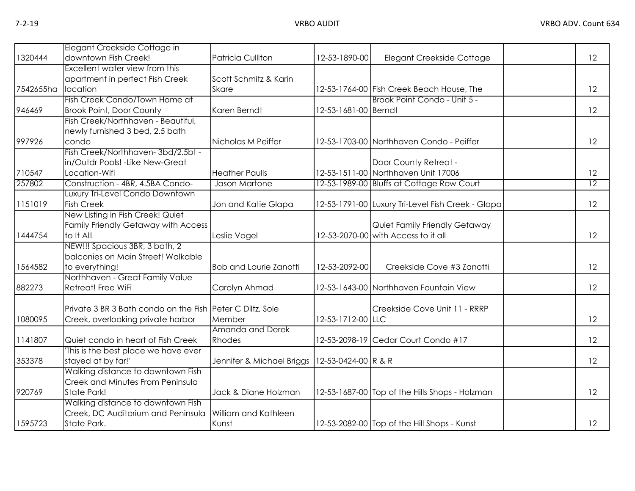|           | Elegant Creekside Cottage in                              |                               |                      |                                                   |                 |
|-----------|-----------------------------------------------------------|-------------------------------|----------------------|---------------------------------------------------|-----------------|
| 1320444   | downtown Fish Creek!                                      | <b>Patricia Culliton</b>      | 12-53-1890-00        | Elegant Creekside Cottage                         | 12              |
|           | Excellent water view from this                            |                               |                      |                                                   |                 |
|           | apartment in perfect Fish Creek                           | Scott Schmitz & Karin         |                      |                                                   |                 |
| 7542655ha | location                                                  | Skare                         |                      | 12-53-1764-00 Fish Creek Beach House, The         | 12              |
|           | Fish Creek Condo/Town Home at                             |                               |                      | Brook Point Condo - Unit 5 -                      |                 |
| 946469    | <b>Brook Point, Door County</b>                           | Karen Berndt                  | 12-53-1681-00 Berndt |                                                   | 12              |
|           | Fish Creek/Northhaven - Beautiful,                        |                               |                      |                                                   |                 |
|           | newly furnished 3 bed, 2.5 bath                           |                               |                      |                                                   |                 |
| 997926    | condo                                                     | Nicholas M Peiffer            |                      | 12-53-1703-00 Northhaven Condo - Peiffer          | 12              |
|           | Fish Creek/Northhaven-3bd/2.5bt -                         |                               |                      |                                                   |                 |
|           | in/Outdr Pools! - Like New-Great                          |                               |                      | Door County Retreat -                             |                 |
| 710547    | Location-Wifi                                             | <b>Heather Paulis</b>         |                      | 12-53-1511-00 Northhaven Unit 17006               | 12              |
| 257802    | Construction - 4BR, 4.5BA Condo-                          | Jason Martone                 |                      | 12-53-1989-00 Bluffs at Cottage Row Court         | $\overline{12}$ |
|           | Luxury Tri-Level Condo Downtown                           |                               |                      |                                                   |                 |
| 1151019   | <b>Fish Creek</b>                                         | Jon and Katie Glapa           |                      | 12-53-1791-00 Luxury Tri-Level Fish Creek - Glapa | 12              |
|           | New Listing in Fish Creek! Quiet                          |                               |                      |                                                   |                 |
|           | Family Friendly Getaway with Access                       |                               |                      | Quiet Family Friendly Getaway                     |                 |
| 1444754   | to It All!                                                | Leslie Vogel                  |                      | 12-53-2070-00 with Access to it all               | 12              |
|           | NEW!!! Spacious 3BR, 3 bath, 2                            |                               |                      |                                                   |                 |
|           | balconies on Main Street! Walkable                        |                               |                      |                                                   |                 |
| 1564582   | to everything!                                            | <b>Bob and Laurie Zanotti</b> | 12-53-2092-00        | Creekside Cove #3 Zanotti                         | 12              |
|           | Northhaven - Great Family Value                           |                               |                      |                                                   |                 |
| 882273    | Retreat! Free WiFi                                        | Carolyn Ahmad                 |                      | 12-53-1643-00 Northhaven Fountain View            | 12              |
|           | Private 3 BR 3 Bath condo on the Fish Peter C Diltz, Sole |                               |                      | Creekside Cove Unit 11 - RRRP                     |                 |
| 1080095   | Creek, overlooking private harbor                         | Member                        | 12-53-1712-00 LLC    |                                                   | 12              |
|           |                                                           | Amanda and Derek              |                      |                                                   |                 |
| 1141807   | Quiet condo in heart of Fish Creek                        | Rhodes                        |                      | 12-53-2098-19 Cedar Court Condo #17               | 12              |
|           | This is the best place we have ever                       |                               |                      |                                                   |                 |
| 353378    | stayed at by far!'                                        | Jennifer & Michael Briggs     | 12-53-0424-00 R & R  |                                                   | 12              |
|           | Walking distance to downtown Fish                         |                               |                      |                                                   |                 |
|           | <b>Creek and Minutes From Peninsula</b>                   |                               |                      |                                                   |                 |
| 920769    | State Park!                                               | Jack & Diane Holzman          |                      | 12-53-1687-00 Top of the Hills Shops - Holzman    | 12              |
|           | Walking distance to downtown Fish                         |                               |                      |                                                   |                 |
|           | Creek, DC Auditorium and Peninsula                        | William and Kathleen          |                      |                                                   |                 |
| 1595723   | State Park.                                               | Kunst                         |                      | 12-53-2082-00 Top of the Hill Shops - Kunst       | 12              |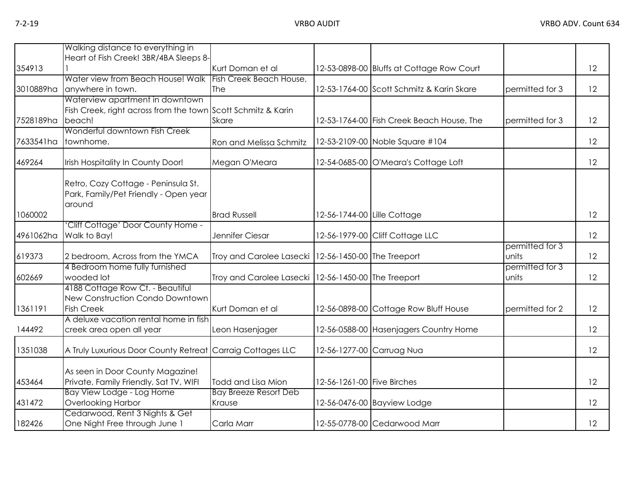|                  | Walking distance to everything in                            |                                                       |                             |                                           |                 |    |
|------------------|--------------------------------------------------------------|-------------------------------------------------------|-----------------------------|-------------------------------------------|-----------------|----|
|                  | Heart of Fish Creek! 3BR/4BA Sleeps 8-                       |                                                       |                             |                                           |                 |    |
| 354913           |                                                              | Kurt Doman et al                                      |                             | 12-53-0898-00 Bluffs at Cottage Row Court |                 | 12 |
|                  | Water view from Beach House! Walk                            | Fish Creek Beach House,                               |                             |                                           |                 |    |
| 3010889ha        | anywhere in town.                                            | The                                                   |                             | 12-53-1764-00 Scott Schmitz & Karin Skare | permitted for 3 | 12 |
|                  | Waterview apartment in downtown                              |                                                       |                             |                                           |                 |    |
|                  | Fish Creek, right across from the town Scott Schmitz & Karin |                                                       |                             |                                           |                 |    |
| 7528189ha beach! |                                                              | <b>Skare</b>                                          |                             | 12-53-1764-00 Fish Creek Beach House, The | permitted for 3 | 12 |
|                  | Wonderful downtown Fish Creek                                |                                                       |                             |                                           |                 |    |
| 7633541ha        | townhome.                                                    | Ron and Melissa Schmitz                               |                             | 12-53-2109-00 Noble Square #104           |                 | 12 |
| 469264           | Irish Hospitality In County Door!                            | Megan O'Meara                                         |                             | 12-54-0685-00 O'Meara's Cottage Loft      |                 | 12 |
|                  | Retro, Cozy Cottage - Peninsula St.                          |                                                       |                             |                                           |                 |    |
|                  | Park, Family/Pet Friendly - Open year                        |                                                       |                             |                                           |                 |    |
|                  | around                                                       |                                                       |                             |                                           |                 |    |
| 1060002          |                                                              | <b>Brad Russell</b>                                   | 12-56-1744-00 Lille Cottage |                                           |                 | 12 |
| 4961062ha        | 'Cliff Cottage' Door County Home -<br>Walk to Bay!           | Jennifer Ciesar                                       |                             | 12-56-1979-00 Cliff Cottage LLC           |                 | 12 |
|                  |                                                              |                                                       |                             |                                           | permitted for 3 |    |
| 619373           | 2 bedroom, Across from the YMCA                              | Troy and Carolee Lasecki   12-56-1450-00 The Treeport |                             |                                           | units           | 12 |
|                  | 4 Bedroom home fully furnished                               |                                                       |                             |                                           | permitted for 3 |    |
| 602669           | wooded lot                                                   | Troy and Carolee Lasecki   12-56-1450-00 The Treeport |                             |                                           | units           | 12 |
|                  | 4188 Cottage Row Ct. - Beautiful                             |                                                       |                             |                                           |                 |    |
|                  | New Construction Condo Downtown                              |                                                       |                             |                                           |                 |    |
| 1361191          | <b>Fish Creek</b>                                            | Kurt Doman et al                                      |                             | 12-56-0898-00 Cottage Row Bluff House     | permitted for 2 | 12 |
|                  | A deluxe vacation rental home in fish                        |                                                       |                             |                                           |                 |    |
| 144492           | creek area open all year                                     | Leon Hasenjager                                       |                             | 12-56-0588-00 Hasenjagers Country Home    |                 | 12 |
| 1351038          | A Truly Luxurious Door County Retreat Carraig Cottages LLC   |                                                       | 12-56-1277-00 Carruag Nua   |                                           |                 | 12 |
|                  | As seen in Door County Magazine!                             |                                                       |                             |                                           |                 |    |
| 453464           | Private, Family Friendly, Sat TV, WIFI                       | Todd and Lisa Mion                                    | 12-56-1261-00 Five Birches  |                                           |                 | 12 |
|                  | Bay View Lodge - Log Home                                    | <b>Bay Breeze Resort Deb</b>                          |                             |                                           |                 |    |
| 431472           | Overlooking Harbor                                           | Krause                                                |                             | 12-56-0476-00 Bayview Lodge               |                 | 12 |
|                  | Cedarwood, Rent 3 Nights & Get                               |                                                       |                             |                                           |                 |    |
| 182426           | One Night Free through June 1                                | Carla Marr                                            |                             | 12-55-0778-00 Cedarwood Marr              |                 | 12 |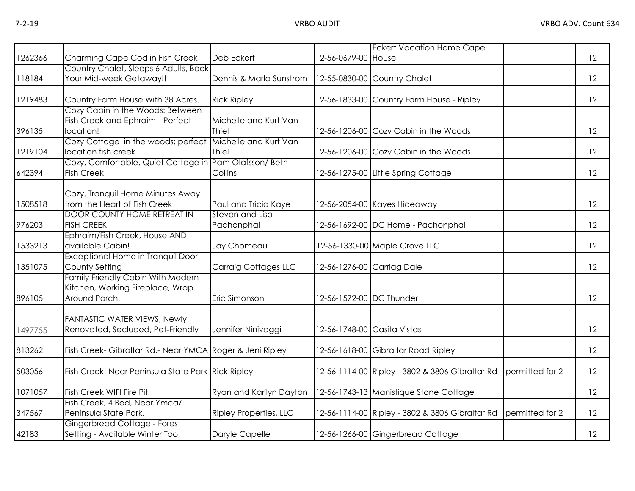|         |                                                          |                                         |                             | <b>Eckert Vacation Home Cape</b>                |                 |    |
|---------|----------------------------------------------------------|-----------------------------------------|-----------------------------|-------------------------------------------------|-----------------|----|
| 1262366 | Charming Cape Cod in Fish Creek                          | Deb Eckert                              | 12-56-0679-00 House         |                                                 |                 | 12 |
|         | Country Chalet, Sleeps 6 Adults, Book                    |                                         |                             |                                                 |                 |    |
| 118184  | Your Mid-week Getaway!!                                  | Dennis & Marla Sunstrom                 |                             | 12-55-0830-00 Country Chalet                    |                 | 12 |
| 1219483 | Country Farm House With 38 Acres.                        | <b>Rick Ripley</b>                      |                             | 12-56-1833-00 Country Farm House - Ripley       |                 | 12 |
|         | Cozy Cabin in the Woods: Between                         |                                         |                             |                                                 |                 |    |
|         | Fish Creek and Ephraim-- Perfect                         | Michelle and Kurt Van                   |                             |                                                 |                 |    |
| 396135  | location!                                                | Thiel                                   |                             | 12-56-1206-00 Cozy Cabin in the Woods           |                 | 12 |
|         | Cozy Cottage in the woods: perfect                       | Michelle and Kurt Van                   |                             |                                                 |                 |    |
| 1219104 | location fish creek                                      | Thiel                                   |                             | 12-56-1206-00 Cozy Cabin in the Woods           |                 | 12 |
|         | Cozy, Comfortable, Quiet Cottage in                      | Pam Olafsson/Beth                       |                             |                                                 |                 |    |
| 642394  | <b>Fish Creek</b>                                        | Collins                                 |                             | 12-56-1275-00 Little Spring Cottage             |                 | 12 |
|         |                                                          |                                         |                             |                                                 |                 |    |
|         | Cozy, Tranquil Home Minutes Away                         |                                         |                             |                                                 |                 |    |
| 1508518 | from the Heart of Fish Creek                             | Paul and Tricia Kaye<br>Steven and Lisa |                             | 12-56-2054-00 Kayes Hideaway                    |                 | 12 |
|         | <b>DOOR COUNTY HOME RETREAT IN</b><br><b>FISH CREEK</b>  |                                         |                             |                                                 |                 | 12 |
| 976203  | Ephraim/Fish Creek, House AND                            | Pachonphai                              |                             | 12-56-1692-00 DC Home - Pachonphai              |                 |    |
| 1533213 | available Cabin!                                         | Jay Chomeau                             |                             | 12-56-1330-00 Maple Grove LLC                   |                 | 12 |
|         | Exceptional Home in Tranquil Door                        |                                         |                             |                                                 |                 |    |
| 1351075 | County Setting                                           | Carraig Cottages LLC                    | 12-56-1276-00 Carriag Dale  |                                                 |                 | 12 |
|         | <b>Family Friendly Cabin With Modern</b>                 |                                         |                             |                                                 |                 |    |
|         | Kitchen, Working Fireplace, Wrap                         |                                         |                             |                                                 |                 |    |
| 896105  | Around Porch!                                            | Eric Simonson                           | 12-56-1572-00 DC Thunder    |                                                 |                 | 12 |
|         |                                                          |                                         |                             |                                                 |                 |    |
|         | <b>FANTASTIC WATER VIEWS, Newly</b>                      |                                         |                             |                                                 |                 |    |
| 1497755 | Renovated, Secluded, Pet-Friendly                        | Jennifer Ninivaggi                      | 12-56-1748-00 Casita Vistas |                                                 |                 | 12 |
|         |                                                          |                                         |                             |                                                 |                 |    |
| 813262  | Fish Creek- Gibraltar Rd.- Near YMCA Roger & Jeni Ripley |                                         |                             | 12-56-1618-00 Gibraltar Road Ripley             |                 | 12 |
|         |                                                          |                                         |                             |                                                 |                 |    |
| 503056  | Fish Creek- Near Peninsula State Park Rick Ripley        |                                         |                             | 12-56-1114-00 Ripley - 3802 & 3806 Gibraltar Rd | permitted for 2 | 12 |
| 1071057 | Fish Creek WIFI Fire Pit                                 | Ryan and Karilyn Dayton                 |                             | 12-56-1743-13 Manistique Stone Cottage          |                 | 12 |
|         | Fish Creek, 4 Bed, Near Ymca/                            |                                         |                             |                                                 |                 |    |
| 347567  | Peninsula State Park.                                    | <b>Ripley Properties, LLC</b>           |                             | 12-56-1114-00 Ripley - 3802 & 3806 Gibraltar Rd | permitted for 2 | 12 |
|         | Gingerbread Cottage - Forest                             |                                         |                             |                                                 |                 |    |
| 42183   | Setting - Available Winter Too!                          | Daryle Capelle                          |                             | 12-56-1266-00 Gingerbread Cottage               |                 | 12 |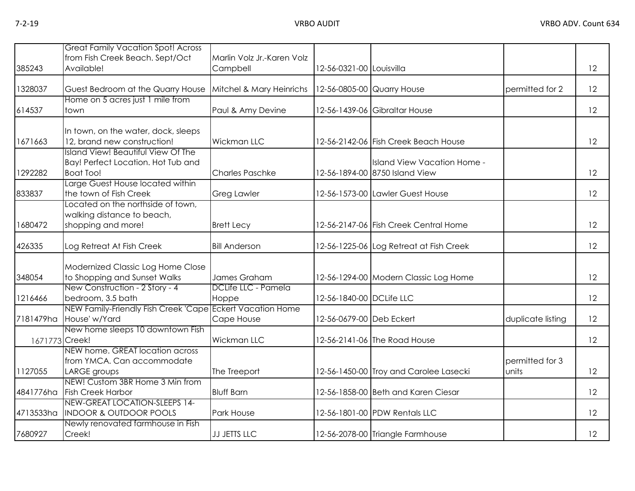|                | <b>Great Family Vacation Spot! Across</b><br>from Fish Creek Beach. Sept/Oct                        | Marlin Volz Jr.-Karen Volz   |                            |                                                               |                          |    |
|----------------|-----------------------------------------------------------------------------------------------------|------------------------------|----------------------------|---------------------------------------------------------------|--------------------------|----|
| 385243         | Available!                                                                                          | Campbell                     | 12-56-0321-00 Louisvilla   |                                                               |                          | 12 |
| 1328037        | Guest Bedroom at the Quarry House                                                                   | Mitchel & Mary Heinrichs     | 12-56-0805-00 Quarry House |                                                               | permitted for 2          | 12 |
| 614537         | Home on 5 acres just 1 mile from<br>town                                                            | Paul & Amy Devine            |                            | 12-56-1439-06 Gibraltar House                                 |                          | 12 |
| 1671663        | In town, on the water, dock, sleeps<br>12, brand new construction!                                  | Wickman LLC                  |                            | 12-56-2142-06 Fish Creek Beach House                          |                          | 12 |
| 1292282        | <b>Island View! Beautiful View Of The</b><br>Bay! Perfect Location. Hot Tub and<br><b>Boat Too!</b> | <b>Charles Paschke</b>       |                            | Island View Vacation Home -<br>12-56-1894-00 8750 Island View |                          | 12 |
| 833837         | Large Guest House located within<br>the town of Fish Creek                                          | <b>Greg Lawler</b>           |                            | 12-56-1573-00 Lawler Guest House                              |                          | 12 |
| 1680472        | Located on the northside of town,<br>walking distance to beach,<br>shopping and more!               | <b>Brett Lecy</b>            |                            | 12-56-2147-06 Fish Creek Central Home                         |                          | 12 |
| 426335         | Log Retreat At Fish Creek                                                                           | <b>Bill Anderson</b>         |                            | 12-56-1225-06 Log Retreat at Fish Creek                       |                          | 12 |
| 348054         | Modernized Classic Log Home Close<br>to Shopping and Sunset Walks                                   | James Graham                 |                            | 12-56-1294-00 Modern Classic Log Home                         |                          | 12 |
| 1216466        | New Construction - 2 Story - 4<br>bedroom, 3.5 bath                                                 | DCLife LLC - Pamela<br>Hoppe | 12-56-1840-00 DCLife LLC   |                                                               |                          | 12 |
| 7181479ha      | NEW Family-Friendly Fish Creek 'Cape Eckert Vacation Home<br>House' w/Yard                          | Cape House                   | 12-56-0679-00 Deb Eckert   |                                                               | duplicate listing        | 12 |
| 1671773 Creek! | New home sleeps 10 downtown Fish                                                                    | Wickman LLC                  |                            | 12-56-2141-06 The Road House                                  |                          | 12 |
| 1127055        | NEW home. GREAT location across<br>from YMCA. Can accommodate<br>LARGE groups                       | The Treeport                 |                            | 12-56-1450-00 Troy and Carolee Lasecki                        | permitted for 3<br>units | 12 |
| 4841776ha      | NEW! Custom 3BR Home 3 Min from<br><b>Fish Creek Harbor</b>                                         | <b>Bluff Barn</b>            |                            | 12-56-1858-00 Beth and Karen Ciesar                           |                          | 12 |
| 4713533ha      | NEW-GREAT LOCATION-SLEEPS 14-<br><b>INDOOR &amp; OUTDOOR POOLS</b>                                  | Park House                   |                            | 12-56-1801-00 PDW Rentals LLC                                 |                          | 12 |
| 7680927        | Newly renovated farmhouse in Fish<br>Creek!                                                         | <b>JJ JETTS LLC</b>          |                            | 12-56-2078-00 Triangle Farmhouse                              |                          | 12 |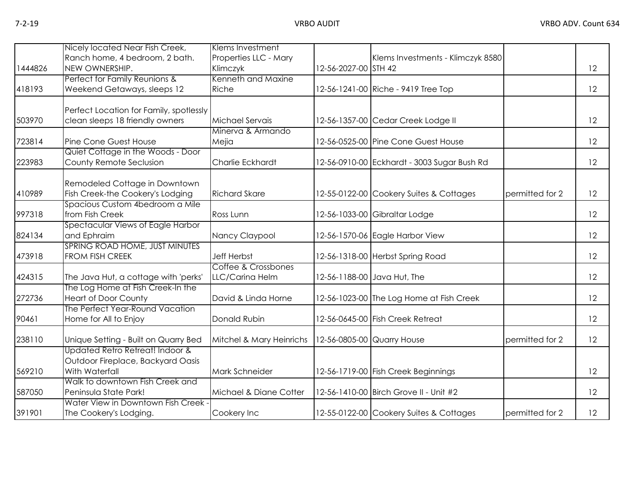|         | Nicely located Near Fish Creek,                  | Klems Investment               |                            |                                             |                 |    |
|---------|--------------------------------------------------|--------------------------------|----------------------------|---------------------------------------------|-----------------|----|
|         | Ranch home, 4 bedroom, 2 bath.                   | Properties LLC - Mary          |                            | Klems Investments - Klimczyk 8580           |                 |    |
| 1444826 | NEW OWNERSHIP.                                   | Klimczyk<br>Kenneth and Maxine | 12-56-2027-00 STH 42       |                                             |                 | 12 |
|         | Perfect for Family Reunions &                    |                                |                            |                                             |                 |    |
| 418193  | Weekend Getaways, sleeps 12                      | Riche                          |                            | 12-56-1241-00 Riche - 9419 Tree Top         |                 | 12 |
|         | Perfect Location for Family, spotlessly          |                                |                            |                                             |                 |    |
| 503970  | clean sleeps 18 friendly owners                  | Michael Servais                |                            | 12-56-1357-00 Cedar Creek Lodge II          |                 | 12 |
|         |                                                  | Minerva & Armando              |                            |                                             |                 |    |
| 723814  | Pine Cone Guest House                            | Mejia                          |                            | 12-56-0525-00 Pine Cone Guest House         |                 | 12 |
|         | Quiet Cottage in the Woods - Door                |                                |                            |                                             |                 |    |
| 223983  | County Remote Seclusion                          | Charlie Eckhardt               |                            | 12-56-0910-00 Eckhardt - 3003 Sugar Bush Rd |                 | 12 |
|         |                                                  |                                |                            |                                             |                 |    |
|         | Remodeled Cottage in Downtown                    |                                |                            |                                             |                 |    |
| 410989  | Fish Creek-the Cookery's Lodging                 | <b>Richard Skare</b>           |                            | 12-55-0122-00 Cookery Suites & Cottages     | permitted for 2 | 12 |
|         | Spacious Custom 4bedroom a Mile                  |                                |                            |                                             |                 |    |
| 997318  | from Fish Creek                                  | Ross Lunn                      |                            | 12-56-1033-00 Gibraltar Lodge               |                 | 12 |
| 824134  | Spectacular Views of Eagle Harbor<br>and Ephraim | Nancy Claypool                 |                            | 12-56-1570-06 Eagle Harbor View             |                 | 12 |
|         | SPRING ROAD HOME, JUST MINUTES                   |                                |                            |                                             |                 |    |
| 473918  | FROM FISH CREEK                                  | <b>Jeff Herbst</b>             |                            | 12-56-1318-00 Herbst Spring Road            |                 | 12 |
|         |                                                  | Coffee & Crossbones            |                            |                                             |                 |    |
| 424315  | The Java Hut, a cottage with 'perks'             | LLC/Carina Helm                |                            | 12-56-1188-00 Java Hut, The                 |                 | 12 |
|         | The Log Home at Fish Creek-In the                |                                |                            |                                             |                 |    |
| 272736  | <b>Heart of Door County</b>                      | David & Linda Horne            |                            | 12-56-1023-00 The Log Home at Fish Creek    |                 | 12 |
|         | The Perfect Year-Round Vacation                  |                                |                            |                                             |                 |    |
| 90461   | Home for All to Enjoy                            | Donald Rubin                   |                            | 12-56-0645-00 Fish Creek Retreat            |                 | 12 |
| 238110  | Unique Setting - Built on Quarry Bed             | Mitchel & Mary Heinrichs       | 12-56-0805-00 Quarry House |                                             | permitted for 2 | 12 |
|         | Updated Retro Retreat! Indoor &                  |                                |                            |                                             |                 |    |
|         | Outdoor Fireplace, Backyard Oasis                |                                |                            |                                             |                 |    |
| 569210  | With Waterfall                                   | Mark Schneider                 |                            | 12-56-1719-00 Fish Creek Beginnings         |                 | 12 |
|         | Walk to downtown Fish Creek and                  |                                |                            |                                             |                 |    |
| 587050  | Peninsula State Park!                            | Michael & Diane Cotter         |                            | 12-56-1410-00 Birch Grove II - Unit #2      |                 | 12 |
|         | Water View in Downtown Fish Creek                |                                |                            |                                             |                 |    |
| 391901  | The Cookery's Lodging.                           | Cookery Inc                    |                            | 12-55-0122-00 Cookery Suites & Cottages     | permitted for 2 | 12 |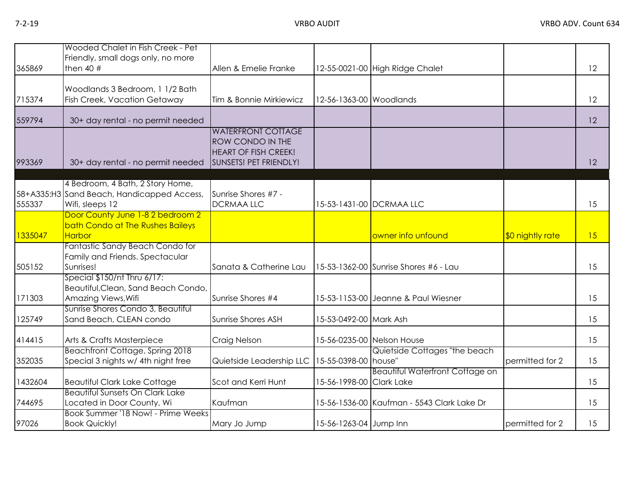| 365869  | Wooded Chalet in Fish Creek - Pet<br>Friendly, small dogs only, no more<br>then $40$ #    | Allen & Emelie Franke                                                                                  |                          | 12-55-0021-00 High Ridge Chalet            |                  | 12 |
|---------|-------------------------------------------------------------------------------------------|--------------------------------------------------------------------------------------------------------|--------------------------|--------------------------------------------|------------------|----|
| 715374  | Woodlands 3 Bedroom, 1 1/2 Bath<br>Fish Creek, Vacation Getaway                           | Tim & Bonnie Mirkiewicz                                                                                | 12-56-1363-00 Woodlands  |                                            |                  | 12 |
| 559794  | 30+ day rental - no permit needed                                                         |                                                                                                        |                          |                                            |                  | 12 |
| 993369  | 30+ day rental - no permit needed                                                         | <b>WATERFRONT COTTAGE</b><br>ROW CONDO IN THE<br><b>HEART OF FISH CREEK!</b><br>SUNSETS! PET FRIENDLY! |                          |                                            |                  | 12 |
|         | 4 Bedroom, 4 Bath, 2 Story Home,                                                          |                                                                                                        |                          |                                            |                  |    |
| 555337  | 58+A335:H3 Sand Beach, Handicapped Access,<br>Wifi, sleeps 12                             | Sunrise Shores #7 -<br><b>DCRMAALLC</b>                                                                |                          | 15-53-1431-00 DCRMAA LLC                   |                  | 15 |
| 1335047 | Door County June 1-8 2 bedroom 2<br>bath Condo at The Rushes Baileys<br><b>Harbor</b>     |                                                                                                        |                          | owner info unfound                         | \$0 nightly rate | 15 |
| 505152  | Fantastic Sandy Beach Condo for<br>Family and Friends. Spectacular<br>Sunrises!           | Sanata & Catherine Lau                                                                                 |                          | 15-53-1362-00 Sunrise Shores #6 - Lau      |                  | 15 |
| 171303  | Special \$150/nt Thru 6/17:<br>Beautiful, Clean, Sand Beach Condo,<br>Amazing Views, Wifi | Sunrise Shores #4                                                                                      |                          | 15-53-1153-00 Jeanne & Paul Wiesner        |                  | 15 |
| 125749  | Sunrise Shores Condo 3, Beautiful<br>Sand Beach, CLEAN condo                              | Sunrise Shores ASH                                                                                     | 15-53-0492-00 Mark Ash   |                                            |                  | 15 |
| 414415  | Arts & Crafts Masterpiece                                                                 | Craig Nelson                                                                                           |                          | 15-56-0235-00 Nelson House                 |                  | 15 |
| 352035  | Beachfront Cottage, Spring 2018<br>Special 3 nights w/ 4th night free                     | Quietside Leadership LLC                                                                               | 15-55-0398-00 house"     | Quietside Cottages "the beach              | permitted for 2  | 15 |
| 1432604 | <b>Beautiful Clark Lake Cottage</b>                                                       | Scot and Kerri Hunt                                                                                    | 15-56-1998-00 Clark Lake | <b>Beautiful Waterfront Cottage on</b>     |                  | 15 |
| 744695  | <b>Beautiful Sunsets On Clark Lake</b><br>Located in Door County, Wi                      | Kaufman                                                                                                |                          | 15-56-1536-00 Kaufman - 5543 Clark Lake Dr |                  | 15 |
| 97026   | Book Summer '18 Now! - Prime Weeks<br><b>Book Quickly!</b>                                | Mary Jo Jump                                                                                           | 15-56-1263-04 Jump Inn   |                                            | permitted for 2  | 15 |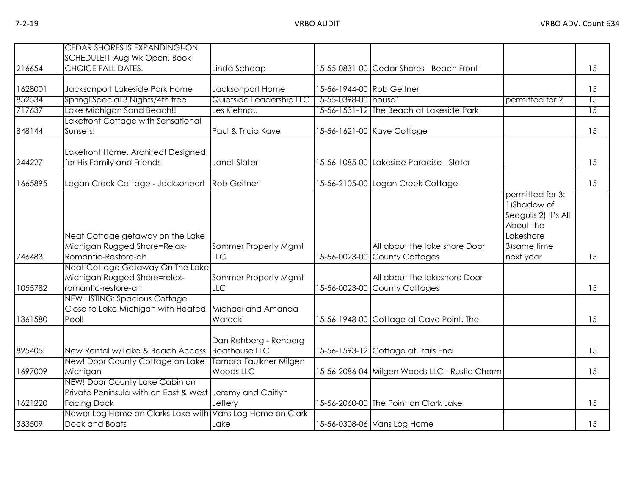| 216654  | <b>CEDAR SHORES IS EXPANDING!-ON</b><br>SCHEDULE! 1 Aug Wk Open. Book<br><b>CHOICE FALL DATES.</b>               | Linda Schaap                                  |                           | 15-55-0831-00 Cedar Shores - Beach Front                       |                                                                                                                | 15              |
|---------|------------------------------------------------------------------------------------------------------------------|-----------------------------------------------|---------------------------|----------------------------------------------------------------|----------------------------------------------------------------------------------------------------------------|-----------------|
|         |                                                                                                                  |                                               |                           |                                                                |                                                                                                                |                 |
| 1628001 | Jacksonport Lakeside Park Home                                                                                   | Jacksonport Home                              | 15-56-1944-00 Rob Geitner |                                                                |                                                                                                                | 15              |
| 852534  | Springl Special 3 Nights/4th free                                                                                | Quietside Leadership LLC 15-55-0398-00 house" |                           |                                                                | permitted for 2                                                                                                | $\overline{15}$ |
| 717637  | Lake Michigan Sand Beach!!                                                                                       | Les Kiehnau                                   |                           | 15-56-1531-12 The Beach at Lakeside Park                       |                                                                                                                | 15              |
| 848144  | Lakefront Cottage with Sensational<br>Sunsets!                                                                   | Paul & Tricia Kaye                            |                           | 15-56-1621-00 Kaye Cottage                                     |                                                                                                                | 15              |
| 244227  | Lakefront Home, Architect Designed<br>for His Family and Friends                                                 | Janet Slater                                  |                           | 15-56-1085-00 Lakeside Paradise - Slater                       |                                                                                                                | 15              |
| 1665895 | Logan Creek Cottage - Jacksonport Rob Geitner                                                                    |                                               |                           | 15-56-2105-00 Logan Creek Cottage                              |                                                                                                                | 15              |
| 746483  | Neat Cottage getaway on the Lake<br>Michigan Rugged Shore=Relax-<br>Romantic-Restore-ah                          | Sommer Property Mgmt<br><b>LLC</b>            |                           | All about the lake shore Door<br>15-56-0023-00 County Cottages | permitted for 3:<br>1)Shadow of<br>Seagulls 2) It's All<br>About the<br>Lakeshore<br>3) same time<br>next year | 15              |
| 1055782 | Neat Cottage Getaway On The Lake<br>Michigan Rugged Shore=relax-<br>romantic-restore-ah                          | Sommer Property Mgmt<br><b>LLC</b>            |                           | All about the lakeshore Door<br>15-56-0023-00 County Cottages  |                                                                                                                | 15              |
| 1361580 | <b>NEW LISTING: Spacious Cottage</b><br>Close to Lake Michigan with Heated<br>Pool!                              | Michael and Amanda<br>Warecki                 |                           | 15-56-1948-00 Cottage at Cave Point, The                       |                                                                                                                | 15              |
| 825405  | New Rental w/Lake & Beach Access   Boathouse LLC                                                                 | Dan Rehberg - Rehberg                         |                           | 15-56-1593-12 Cottage at Trails End                            |                                                                                                                | 15              |
| 1697009 | New! Door County Cottage on Lake<br>Michigan                                                                     | Tamara Faulkner Milgen<br>Woods LLC           |                           | 15-56-2086-04 Milgen Woods LLC - Rustic Charm                  |                                                                                                                | 15              |
| 1621220 | NEW! Door County Lake Cabin on<br>Private Peninsula with an East & West Jeremy and Caitlyn<br><b>Facing Dock</b> | Jeffery                                       |                           | 15-56-2060-00 The Point on Clark Lake                          |                                                                                                                | 15              |
| 333509  | Newer Log Home on Clarks Lake with Vans Log Home on Clark<br>Dock and Boats                                      | Lake                                          |                           | 15-56-0308-06 Vans Log Home                                    |                                                                                                                | 15              |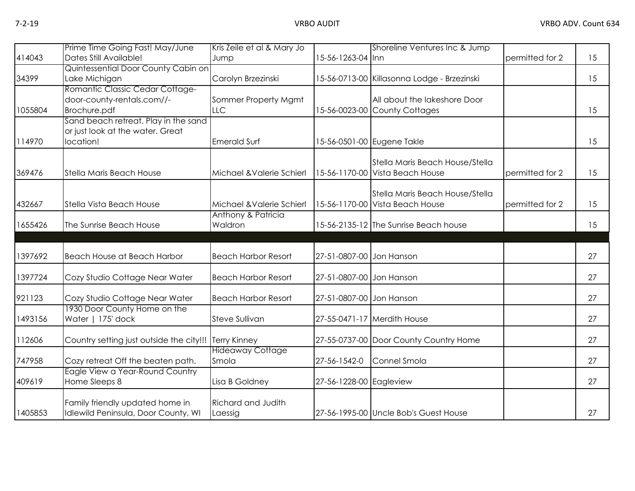|         | Prime Time Going Fast! May/June                      | Kris Zeile et al & Mary Jo |                          | Shoreline Ventures Inc & Jump               |                 |    |
|---------|------------------------------------------------------|----------------------------|--------------------------|---------------------------------------------|-----------------|----|
| 414043  | Dates Still Available!                               | Jump                       | 15-56-1263-04 Inn        |                                             | permitted for 2 | 15 |
|         | Quintessential Door County Cabin on                  |                            |                          |                                             |                 |    |
| 34399   | Lake Michigan                                        | Carolyn Brzezinski         |                          | 15-56-0713-00 Killasonna Lodge - Brzezinski |                 | 15 |
|         | Romantic Classic Cedar Cottage-                      |                            |                          |                                             |                 |    |
|         | door-county-rentals.com//-                           | Sommer Property Mgmt       |                          | All about the lakeshore Door                |                 |    |
| 1055804 | Brochure.pdf<br>Sand beach retreat. Play in the sand | LLC                        |                          | 15-56-0023-00 County Cottages               |                 | 15 |
|         | or just look at the water. Great                     |                            |                          |                                             |                 |    |
| 114970  | location!                                            | <b>Emerald Surf</b>        |                          | 15-56-0501-00 Eugene Takle                  |                 | 15 |
|         |                                                      |                            |                          |                                             |                 |    |
|         |                                                      |                            |                          | Stella Maris Beach House/Stella             |                 |    |
| 369476  | Stella Maris Beach House                             | Michael & Valerie Schierl  |                          | 15-56-1170-00 Vista Beach House             | permitted for 2 | 15 |
|         |                                                      |                            |                          |                                             |                 |    |
|         |                                                      |                            |                          | Stella Maris Beach House/Stella             |                 |    |
| 432667  | Stella Vista Beach House                             | Michael & Valerie Schierl  |                          | 15-56-1170-00 Vista Beach House             | permitted for 2 | 15 |
|         |                                                      | Anthony & Patricia         |                          |                                             |                 |    |
| 1655426 | The Sunrise Beach House                              | Waldron                    |                          | 15-56-2135-12 The Sunrise Beach house       |                 | 15 |
|         |                                                      |                            |                          |                                             |                 |    |
| 1397692 | Beach House at Beach Harbor                          | <b>Beach Harbor Resort</b> | 27-51-0807-00 Jon Hanson |                                             |                 | 27 |
| 1397724 | Cozy Studio Cottage Near Water                       | <b>Beach Harbor Resort</b> | 27-51-0807-00 Jon Hanson |                                             |                 | 27 |
|         |                                                      |                            |                          |                                             |                 |    |
| 921123  | Cozy Studio Cottage Near Water                       | <b>Beach Harbor Resort</b> | 27-51-0807-00 Jon Hanson |                                             |                 | 27 |
|         | 1930 Door County Home on the                         |                            |                          |                                             |                 |    |
| 1493156 | Water   175' dock                                    | Steve Sullivan             |                          | 27-55-0471-17 Merdith House                 |                 | 27 |
| 112606  | Country setting just outside the city!!!             | <b>Terry Kinney</b>        |                          | 27-55-0737-00 Door County Country Home      |                 | 27 |
|         |                                                      | <b>Hideaway Cottage</b>    |                          |                                             |                 |    |
| 747958  | Cozy retreat Off the beaten path.                    | Smola                      | 27-56-1542-0             | Connel Smola                                |                 | 27 |
|         | Eagle View a Year-Round Country                      |                            |                          |                                             |                 |    |
| 409619  | Home Sleeps 8                                        | Lisa B Goldney             | 27-56-1228-00 Eagleview  |                                             |                 | 27 |
|         |                                                      |                            |                          |                                             |                 |    |
|         | Family friendly updated home in                      | <b>Richard and Judith</b>  |                          |                                             |                 |    |
| 1405853 | Idlewild Peninsula, Door County, WI                  | Laessig                    |                          | 27-56-1995-00 Uncle Bob's Guest House       |                 | 27 |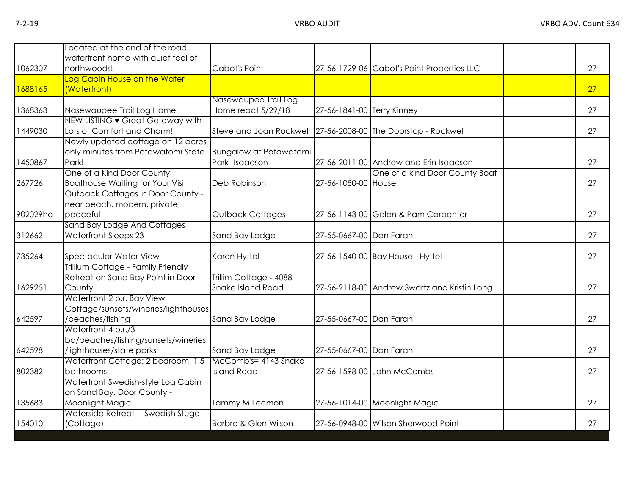|          | Located at the end of the road,                                |                                                               |                            |                                              |    |
|----------|----------------------------------------------------------------|---------------------------------------------------------------|----------------------------|----------------------------------------------|----|
| 1062307  | waterfront home with quiet feel of<br>northwoods!              | Cabot's Point                                                 |                            | 27-56-1729-06 Cabot's Point Properties LLC   | 27 |
|          | Log Cabin House on the Water                                   |                                                               |                            |                                              |    |
| 1688165  | (Waterfront)                                                   |                                                               |                            |                                              | 27 |
|          |                                                                | Nasewaupee Trail Log                                          |                            |                                              |    |
| 1368363  | Nasewaupee Trail Log Home                                      | Home react 5/29/18                                            | 27-56-1841-00 Terry Kinney |                                              | 27 |
|          | NEW LISTING • Great Getaway with                               |                                                               |                            |                                              |    |
| 1449030  | Lots of Comfort and Charm!                                     | Steve and Joan Rockwell 27-56-2008-00 The Doorstop - Rockwell |                            |                                              | 27 |
|          | Newly updated cottage on 12 acres                              |                                                               |                            |                                              |    |
|          | only minutes from Potawatomi State                             | <b>Bungalow at Potawatomi</b>                                 |                            |                                              |    |
| 1450867  | Park!<br>One of a Kind Door County                             | Park-Isaacson                                                 |                            | 27-56-2011-00 Andrew and Erin Isaacson       | 27 |
| 267726   | <b>Boathouse Waiting for Your Visit</b>                        | Deb Robinson                                                  | 27-56-1050-00 House        | One of a kind Door County Boat               | 27 |
|          | <b>Outback Cottages in Door County -</b>                       |                                                               |                            |                                              |    |
|          | near beach, modern, private,                                   |                                                               |                            |                                              |    |
| 902029ha | peaceful                                                       | Outback Cottages                                              |                            | 27-56-1143-00 Galen & Pam Carpenter          | 27 |
|          | Sand Bay Lodge And Cottages                                    |                                                               |                            |                                              |    |
| 312662   | Waterfront Sleeps 23                                           | Sand Bay Lodge                                                | 27-55-0667-00 Dan Farah    |                                              | 27 |
|          |                                                                |                                                               |                            |                                              |    |
| 735264   | Spectacular Water View                                         | Karen Hyttel                                                  |                            | 27-56-1540-00 Bay House - Hyttel             | 27 |
|          | Trillium Cottage - Family Friendly                             |                                                               |                            |                                              |    |
|          | Retreat on Sand Bay Point in Door                              | Trillim Cottage - 4088                                        |                            |                                              |    |
| 1629251  | County                                                         | <b>Snake Island Road</b>                                      |                            | 27-56-2118-00 Andrew Swartz and Kristin Long | 27 |
|          | Waterfront 2 b.r. Bay View                                     |                                                               |                            |                                              |    |
|          | Cottage/sunsets/wineries/lighthouses                           |                                                               |                            |                                              |    |
| 642597   | /beaches/fishing                                               | Sand Bay Lodge                                                | 27-55-0667-00 Dan Farah    |                                              | 27 |
|          | Waterfront 4 b.r./3                                            |                                                               |                            |                                              |    |
|          | ba/beaches/fishing/sunsets/wineries                            |                                                               |                            |                                              |    |
| 642598   | /lighthouses/state parks<br>Waterfront Cottage: 2 bedroom, 1.5 | Sand Bay Lodge<br>McComb's= 4143 Snake                        | 27-55-0667-00 Dan Farah    |                                              | 27 |
| 802382   | bathrooms                                                      | <b>Island Road</b>                                            |                            | 27-56-1598-00 John McCombs                   | 27 |
|          | Waterfront Swedish-style Log Cabin                             |                                                               |                            |                                              |    |
|          | on Sand Bay, Door County -                                     |                                                               |                            |                                              |    |
| 135683   | Moonlight Magic                                                | Tammy M Leemon                                                |                            | 27-56-1014-00 Moonlight Magic                | 27 |
|          | Waterside Retreat -- Swedish Stuga                             |                                                               |                            |                                              |    |
| 154010   | (Cottage)                                                      | Barbro & Glen Wilson                                          |                            | 27-56-0948-00 Wilson Sherwood Point          | 27 |
|          |                                                                |                                                               |                            |                                              |    |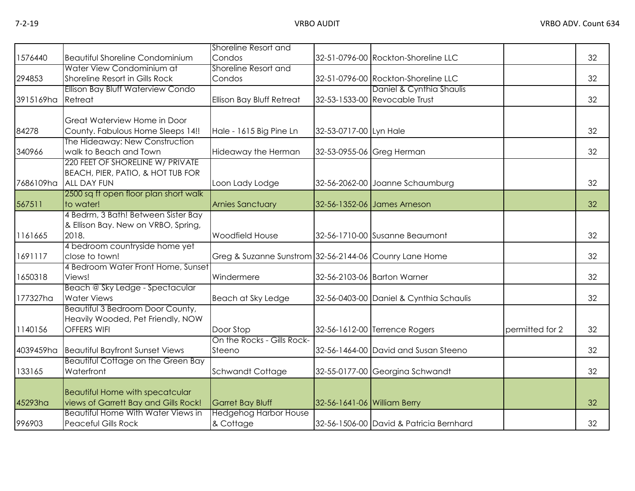|           |                                                            | Shoreline Resort and                                   |                             |                                         |                 |    |
|-----------|------------------------------------------------------------|--------------------------------------------------------|-----------------------------|-----------------------------------------|-----------------|----|
| 1576440   | <b>Beautiful Shoreline Condominium</b>                     | Condos                                                 |                             | 32-51-0796-00 Rockton-Shoreline LLC     |                 | 32 |
|           | Water View Condominium at                                  | Shoreline Resort and                                   |                             |                                         |                 |    |
| 294853    | Shoreline Resort in Gills Rock                             | Condos                                                 |                             | 32-51-0796-00 Rockton-Shoreline LLC     |                 | 32 |
|           | Ellison Bay Bluff Waterview Condo                          |                                                        |                             | Daniel & Cynthia Shaulis                |                 |    |
| 3915169ha | Retreat                                                    | Ellison Bay Bluff Retreat                              |                             | 32-53-1533-00 Revocable Trust           |                 | 32 |
|           |                                                            |                                                        |                             |                                         |                 |    |
|           | Great Waterview Home in Door                               |                                                        |                             |                                         |                 |    |
| 84278     | County. Fabulous Home Sleeps 14!!                          | Hale - 1615 Big Pine Ln                                | 32-53-0717-00 Lyn Hale      |                                         |                 | 32 |
|           | The Hideaway: New Construction                             |                                                        |                             |                                         |                 |    |
| 340966    | walk to Beach and Town<br>220 FEET OF SHORELINE W/ PRIVATE | Hideaway the Herman                                    | 32-53-0955-06 Greg Herman   |                                         |                 | 32 |
|           |                                                            |                                                        |                             |                                         |                 |    |
| 7686109ha | BEACH, PIER, PATIO, & HOT TUB FOR<br><b>ALL DAY FUN</b>    | Loon Lady Lodge                                        |                             | 32-56-2062-00 Joanne Schaumburg         |                 | 32 |
|           | 2500 sq ft open floor plan short walk                      |                                                        |                             |                                         |                 |    |
| 567511    | to water!                                                  | <b>Arnies Sanctuary</b>                                |                             | 32-56-1352-06 James Arneson             |                 | 32 |
|           | 4 Bedrm, 3 Bath! Between Sister Bay                        |                                                        |                             |                                         |                 |    |
|           | & Ellison Bay. New on VRBO, Spring,                        |                                                        |                             |                                         |                 |    |
| 1161665   | 2018.                                                      | Woodfield House                                        |                             | 32-56-1710-00 Susanne Beaumont          |                 | 32 |
|           | 4 bedroom countryside home yet                             |                                                        |                             |                                         |                 |    |
| 1691117   | close to town!                                             | Greg & Suzanne Sunstrom 32-56-2144-06 Counry Lane Home |                             |                                         |                 | 32 |
|           | 4 Bedroom Water Front Home, Sunset                         |                                                        |                             |                                         |                 |    |
| 1650318   | Views!                                                     | Windermere                                             |                             | 32-56-2103-06 Barton Warner             |                 | 32 |
|           | Beach @ Sky Ledge - Spectacular                            |                                                        |                             |                                         |                 |    |
| 177327ha  | <b>Water Views</b>                                         | Beach at Sky Ledge                                     |                             | 32-56-0403-00 Daniel & Cynthia Schaulis |                 | 32 |
|           | Beautiful 3 Bedroom Door County,                           |                                                        |                             |                                         |                 |    |
| 1140156   | Heavily Wooded, Pet Friendly, NOW<br><b>OFFERS WIFI</b>    | Door Stop                                              |                             | 32-56-1612-00 Terrence Rogers           | permitted for 2 | 32 |
|           |                                                            | On the Rocks - Gills Rock-                             |                             |                                         |                 |    |
| 4039459ha | <b>Beautiful Bayfront Sunset Views</b>                     | Steeno                                                 |                             | 32-56-1464-00 David and Susan Steeno    |                 | 32 |
|           | Beautiful Cottage on the Green Bay                         |                                                        |                             |                                         |                 |    |
| 133165    | Waterfront                                                 | Schwandt Cottage                                       |                             | 32-55-0177-00 Georgina Schwandt         |                 | 32 |
|           |                                                            |                                                        |                             |                                         |                 |    |
|           | <b>Beautiful Home with specatcular</b>                     |                                                        |                             |                                         |                 |    |
| 45293ha   | views of Garrett Bay and Gills Rock!                       | <b>Garret Bay Bluff</b>                                | 32-56-1641-06 William Berry |                                         |                 | 32 |
|           | <b>Beautiful Home With Water Views in</b>                  | <b>Hedgehog Harbor House</b>                           |                             |                                         |                 |    |
| 996903    | <b>Peaceful Gills Rock</b>                                 | & Cottage                                              |                             | 32-56-1506-00 David & Patricia Bernhard |                 | 32 |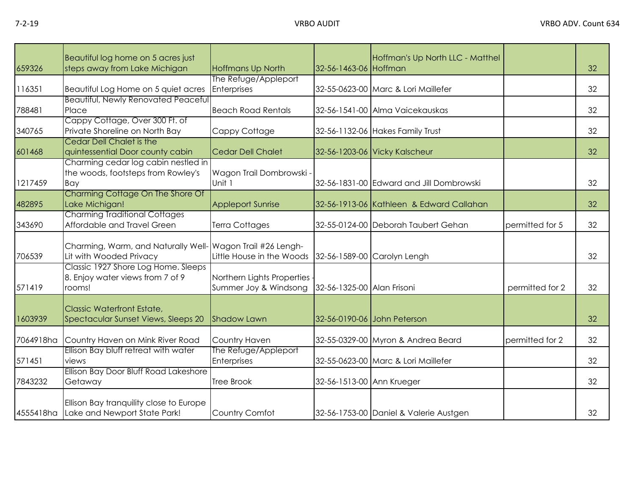| 659326    | Beautiful log home on 5 acres just<br>steps away from Lake Michigan               | <b>Hoffmans Up North</b>   | 32-56-1463-06 Hoffman      | Hoffman's Up North LLC - Matthel         |                 | 32 |
|-----------|-----------------------------------------------------------------------------------|----------------------------|----------------------------|------------------------------------------|-----------------|----|
|           |                                                                                   | The Refuge/Appleport       |                            |                                          |                 |    |
| 116351    |                                                                                   | Enterprises                |                            | 32-55-0623-00 Marc & Lori Maillefer      |                 | 32 |
|           | Beautiful Log Home on 5 quiet acres<br><b>Beautiful, Newly Renovated Peaceful</b> |                            |                            |                                          |                 |    |
| 788481    |                                                                                   | <b>Beach Road Rentals</b>  |                            |                                          |                 | 32 |
|           | Place                                                                             |                            |                            | 32-56-1541-00 Alma Vaicekauskas          |                 |    |
|           | Cappy Cottage, Over 300 Ft. of                                                    |                            |                            |                                          |                 |    |
| 340765    | Private Shoreline on North Bay                                                    | Cappy Cottage              |                            | 32-56-1132-06 Hakes Family Trust         |                 | 32 |
|           | Cedar Dell Chalet is the                                                          |                            |                            |                                          |                 |    |
| 601468    | quintessential Door county cabin                                                  | <b>Cedar Dell Chalet</b>   |                            | 32-56-1203-06 Vicky Kalscheur            |                 | 32 |
|           | Charming cedar log cabin nestled in                                               |                            |                            |                                          |                 |    |
|           | the woods, footsteps from Rowley's                                                | Wagon Trail Dombrowski -   |                            |                                          |                 |    |
| 1217459   | Bay                                                                               | Unit 1                     |                            | 32-56-1831-00 Edward and Jill Dombrowski |                 | 32 |
|           | Charming Cottage On The Shore Of                                                  |                            |                            |                                          |                 |    |
| 482895    | Lake Michigan!                                                                    | <b>Appleport Sunrise</b>   |                            | 32-56-1913-06 Kathleen & Edward Callahan |                 | 32 |
|           | <b>Charming Traditional Cottages</b>                                              |                            |                            |                                          |                 |    |
| 343690    | Affordable and Travel Green                                                       | Terra Cottages             |                            | 32-55-0124-00 Deborah Taubert Gehan      | permitted for 5 | 32 |
|           |                                                                                   |                            |                            |                                          |                 |    |
|           | Charming, Warm, and Naturally Well- Wagon Trail #26 Lengh-                        |                            |                            |                                          |                 |    |
| 706539    | Lit with Wooded Privacy                                                           | Little House in the Woods  |                            | 32-56-1589-00 Carolyn Lengh              |                 | 32 |
|           | Classic 1927 Shore Log Home. Sleeps                                               |                            |                            |                                          |                 |    |
|           | 8. Enjoy water views from 7 of 9                                                  | Northern Lights Properties |                            |                                          |                 |    |
| 571419    | rooms!                                                                            | Summer Joy & Windsong      | 32-56-1325-00 Alan Frisoni |                                          | permitted for 2 | 32 |
|           |                                                                                   |                            |                            |                                          |                 |    |
|           | <b>Classic Waterfront Estate,</b>                                                 |                            |                            |                                          |                 |    |
| 1603939   | Spectacular Sunset Views, Sleeps 20                                               | Shadow Lawn                |                            | 32-56-0190-06 John Peterson              |                 | 32 |
|           |                                                                                   |                            |                            |                                          |                 |    |
| 7064918ha | Country Haven on Mink River Road                                                  | <b>Country Haven</b>       |                            | 32-55-0329-00 Myron & Andrea Beard       | permitted for 2 | 32 |
|           | Ellison Bay bluff retreat with water                                              | The Refuge/Appleport       |                            |                                          |                 |    |
| 571451    | views                                                                             | Enterprises                |                            | 32-55-0623-00 Marc & Lori Maillefer      |                 | 32 |
|           | Ellison Bay Door Bluff Road Lakeshore                                             |                            |                            |                                          |                 |    |
| 7843232   | Getaway                                                                           | <b>Tree Brook</b>          | 32-56-1513-00 Ann Krueger  |                                          |                 | 32 |
|           |                                                                                   |                            |                            |                                          |                 |    |
|           | Ellison Bay tranquility close to Europe                                           |                            |                            |                                          |                 |    |
| 4555418ha | Lake and Newport State Park!                                                      | <b>Country Comfot</b>      |                            | 32-56-1753-00 Daniel & Valerie Austgen   |                 | 32 |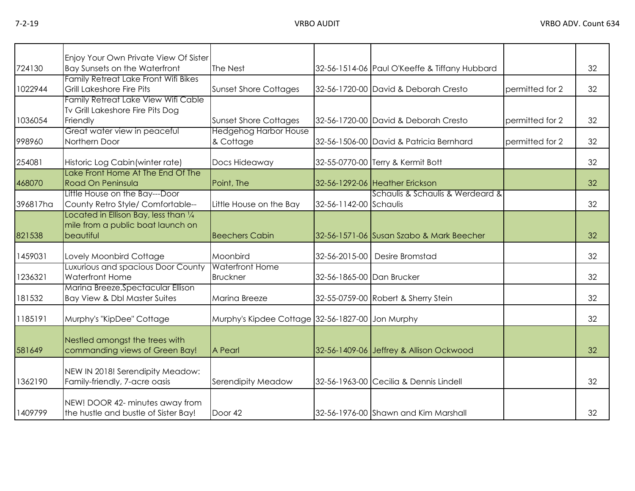|          | Enjoy Your Own Private View Of Sister                                                             |                                                  |                           |                                               |                 |    |
|----------|---------------------------------------------------------------------------------------------------|--------------------------------------------------|---------------------------|-----------------------------------------------|-----------------|----|
| 724130   | <b>Bay Sunsets on the Waterfront</b>                                                              | The Nest                                         |                           | 32-56-1514-06 Paul O'Keeffe & Tiffany Hubbard |                 | 32 |
| 1022944  | Family Retreat Lake Front Wifi Bikes<br>Grill Lakeshore Fire Pits                                 | <b>Sunset Shore Cottages</b>                     |                           | 32-56-1720-00 David & Deborah Cresto          | permitted for 2 | 32 |
| 1036054  | Family Retreat Lake View Wifi Cable<br>Tv Grill Lakeshore Fire Pits Dog<br>Friendly               | <b>Sunset Shore Cottages</b>                     |                           | 32-56-1720-00 David & Deborah Cresto          | permitted for 2 | 32 |
| 998960   | Great water view in peaceful<br>Northern Door                                                     | <b>Hedgehog Harbor House</b><br>& Cottage        |                           | 32-56-1506-00 David & Patricia Bernhard       | permitted for 2 | 32 |
| 254081   | Historic Log Cabin (winter rate)                                                                  | Docs Hideaway                                    |                           | 32-55-0770-00 Terry & Kermit Bott             |                 | 32 |
| 468070   | Lake Front Home At The End Of The<br>Road On Peninsula                                            | Point, The                                       |                           | 32-56-1292-06 Heather Erickson                |                 | 32 |
| 396817ha | Little House on the Bay---Door<br>County Retro Style/ Comfortable--                               | Little House on the Bay                          | 32-56-1142-00 Schaulis    | Schaulis & Schaulis & Werdeard &              |                 | 32 |
| 821538   | Located in Ellison Bay, less than $\frac{1}{4}$<br>mile from a public boat launch on<br>beautiful | <b>Beechers Cabin</b>                            |                           | 32-56-1571-06 Susan Szabo & Mark Beecher      |                 | 32 |
| 1459031  | Lovely Moonbird Cottage                                                                           | Moonbird                                         |                           | 32-56-2015-00 Desire Bromstad                 |                 | 32 |
| 1236321  | Luxurious and spacious Door County<br><b>Waterfront Home</b>                                      | <b>Waterfront Home</b><br><b>Bruckner</b>        | 32-56-1865-00 Dan Brucker |                                               |                 | 32 |
| 181532   | Marina Breeze, Spectacular Ellison<br>Bay View & Dbl Master Suites                                | Marina Breeze                                    |                           | 32-55-0759-00 Robert & Sherry Stein           |                 | 32 |
| 1185191  | Murphy's "KipDee" Cottage                                                                         | Murphy's Kipdee Cottage 32-56-1827-00 Jon Murphy |                           |                                               |                 | 32 |
| 581649   | Nestled amongst the trees with<br>commanding views of Green Bay!                                  | A Pearl                                          |                           | 32-56-1409-06 Jeffrey & Allison Ockwood       |                 | 32 |
| 1362190  | NEW IN 2018! Serendipity Meadow:<br>Family-friendly, 7-acre oasis                                 | Serendipity Meadow                               |                           | 32-56-1963-00 Cecilia & Dennis Lindell        |                 | 32 |
| 1409799  | NEW! DOOR 42- minutes away from<br>the hustle and bustle of Sister Bay!                           | Door 42                                          |                           | 32-56-1976-00 Shawn and Kim Marshall          |                 | 32 |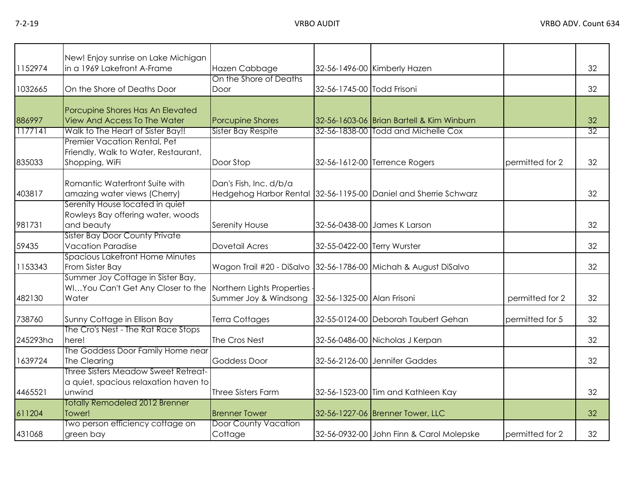| 1152974  | New! Enjoy sunrise on Lake Michigan<br>in a 1969 Lakefront A-Frame                                         | Hazen Cabbage                                                   |                             | 32-56-1496-00 Kimberly Hazen                                    |                 | 32              |
|----------|------------------------------------------------------------------------------------------------------------|-----------------------------------------------------------------|-----------------------------|-----------------------------------------------------------------|-----------------|-----------------|
| 1032665  | On the Shore of Deaths Door                                                                                | On the Shore of Deaths<br>Door                                  | 32-56-1745-00 Todd Frisoni  |                                                                 |                 | 32              |
| 886997   | Porcupine Shores Has An Elevated<br><b>View And Access To The Water</b>                                    | <b>Porcupine Shores</b>                                         |                             | 32-56-1603-06 Brian Bartell & Kim Winburn                       |                 | 32              |
| 1177141  | Walk to The Heart of Sister Bay!!                                                                          | <b>Sister Bay Respite</b>                                       |                             | 32-56-1838-00 Todd and Michelle Cox                             |                 | $\overline{32}$ |
| 835033   | Premier Vacation Rental, Pet<br>Friendly, Walk to Water, Restaurant,<br>Shopping, WiFi                     | Door Stop                                                       |                             | 32-56-1612-00 Terrence Rogers                                   | permitted for 2 | 32              |
| 403817   | Romantic Waterfront Suite with<br>amazing water views (Cherry)                                             | Dan's Fish, Inc. d/b/a                                          |                             | Hedgehog Harbor Rental 32-56-1195-00 Daniel and Sherrie Schwarz |                 | 32              |
| 981731   | Serenity House located in quiet<br>Rowleys Bay offering water, woods<br>and beauty                         | Serenity House                                                  |                             | 32-56-0438-00 James K Larson                                    |                 | 32              |
| 59435    | <b>Sister Bay Door County Private</b><br><b>Vacation Paradise</b>                                          | <b>Dovetail Acres</b>                                           | 32-55-0422-00 Terry Wurster |                                                                 |                 | 32              |
| 1153343  | Spacious Lakefront Home Minutes<br>From Sister Bay                                                         | Wagon Trail #20 - DiSalvo 32-56-1786-00 Michah & August DiSalvo |                             |                                                                 |                 | 32              |
| 482130   | Summer Joy Cottage in Sister Bay,<br>WIYou Can't Get Any Closer to the Northern Lights Properties<br>Water | Summer Joy & Windsong                                           | 32-56-1325-00 Alan Frisoni  |                                                                 | permitted for 2 | 32              |
| 738760   | Sunny Cottage in Ellison Bay                                                                               | <b>Terra Cottages</b>                                           |                             | 32-55-0124-00 Deborah Taubert Gehan                             | permitted for 5 | 32              |
| 245293ha | The Cro's Nest - The Rat Race Stops<br>here!                                                               | The Cros Nest                                                   |                             | 32-56-0486-00 Nicholas J Kerpan                                 |                 | 32              |
| 1639724  | The Goddess Door Family Home near<br>The Clearing                                                          | <b>Goddess Door</b>                                             |                             | 32-56-2126-00 Jennifer Gaddes                                   |                 | 32              |
| 4465521  | Three Sisters Meadow Sweet Retreat-<br>a quiet, spacious relaxation haven to<br>unwind                     | Three Sisters Farm                                              |                             | 32-56-1523-00 Tim and Kathleen Kay                              |                 | 32              |
| 611204   | <b>Totally Remodeled 2012 Brenner</b><br>Tower!                                                            | <b>Brenner Tower</b>                                            |                             | 32-56-1227-06 Brenner Tower, LLC                                |                 | 32              |
| 431068   | Two person efficiency cottage on<br>green bay                                                              | <b>Door County Vacation</b><br>Cottage                          |                             | 32-56-0932-00 John Finn & Carol Molepske                        | permitted for 2 | 32              |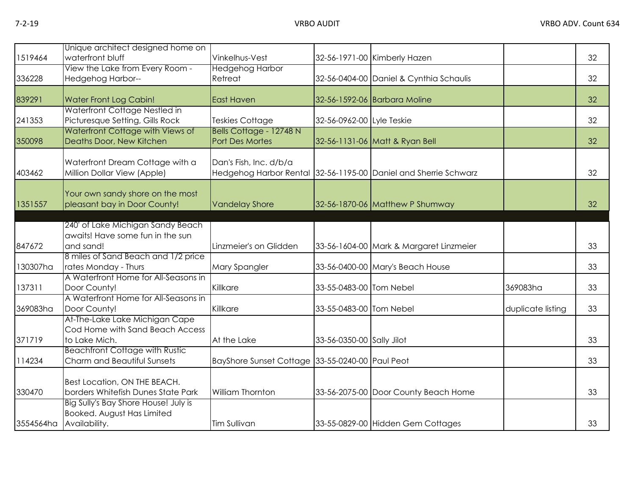| 1519464   | Unique architect designed home on<br>waterfront bluff                                                      | Vinkelhus-Vest                                  |                           | 32-56-1971-00 Kimberly Hazen                                    |                   | 32 |
|-----------|------------------------------------------------------------------------------------------------------------|-------------------------------------------------|---------------------------|-----------------------------------------------------------------|-------------------|----|
| 336228    | View the Lake from Every Room -<br>Hedgehog Harbor--                                                       | <b>Hedgehog Harbor</b><br>Retreat               |                           | 32-56-0404-00 Daniel & Cynthia Schaulis                         |                   | 32 |
| 839291    | Water Front Log Cabin!                                                                                     | <b>East Haven</b>                               |                           | 32-56-1592-06 Barbara Moline                                    |                   | 32 |
| 241353    | Waterfront Cottage Nestled in<br>Picturesque Setting, Gills Rock                                           | Teskies Cottage                                 | 32-56-0962-00 Lyle Teskie |                                                                 |                   | 32 |
| 350098    | Waterfront Cottage with Views of<br>Deaths Door, New Kitchen                                               | Bells Cottage - 12748 N<br>Port Des Mortes      |                           | 32-56-1131-06 Matt & Ryan Bell                                  |                   | 32 |
| 403462    | Waterfront Dream Cottage with a<br>Million Dollar View (Apple)                                             | Dan's Fish, Inc. d/b/a                          |                           | Hedgehog Harbor Rental 32-56-1195-00 Daniel and Sherrie Schwarz |                   | 32 |
| 1351557   | Your own sandy shore on the most<br>pleasant bay in Door County!                                           | <b>Vandelay Shore</b>                           |                           | 32-56-1870-06 Matthew P Shumway                                 |                   | 32 |
| 847672    | 240' of Lake Michigan Sandy Beach<br>awaits! Have some fun in the sun<br>and sand!                         | Linzmeier's on Glidden                          |                           | 33-56-1604-00 Mark & Margaret Linzmeier                         |                   | 33 |
| 130307ha  | 8 miles of Sand Beach and 1/2 price<br>rates Monday - Thurs                                                | Mary Spangler                                   |                           | 33-56-0400-00 Mary's Beach House                                |                   | 33 |
| 137311    | A Waterfront Home for All-Seasons in<br>Door County!                                                       | Killkare                                        | 33-55-0483-00 Tom Nebel   |                                                                 | 369083ha          | 33 |
| 369083ha  | A Waterfront Home for All-Seasons in<br>Door County!                                                       | Killkare                                        | 33-55-0483-00 Tom Nebel   |                                                                 | duplicate listing | 33 |
| 371719    | At-The-Lake Lake Michigan Cape<br>Cod Home with Sand Beach Access<br>to Lake Mich.                         | At the Lake                                     | 33-56-0350-00 Sally Jilot |                                                                 |                   | 33 |
| 114234    | <b>Beachfront Cottage with Rustic</b><br>Charm and Beautiful Sunsets                                       | BayShore Sunset Cottage 33-55-0240-00 Paul Peot |                           |                                                                 |                   | 33 |
| 330470    | Best Location, ON THE BEACH.<br>borders Whitefish Dunes State Park<br>Big Sully's Bay Shore House! July is | William Thornton                                |                           | 33-56-2075-00 Door County Beach Home                            |                   | 33 |
| 3554564ha | Booked. August Has Limited<br>Availability.                                                                | <b>Tim Sullivan</b>                             |                           | 33-55-0829-00 Hidden Gem Cottages                               |                   | 33 |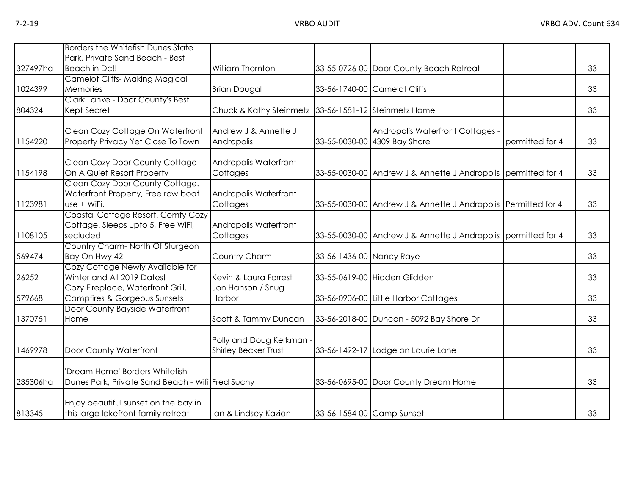|          | Borders the Whitefish Dunes State                              |                                                      |                           |                                                               |                 |    |
|----------|----------------------------------------------------------------|------------------------------------------------------|---------------------------|---------------------------------------------------------------|-----------------|----|
|          | Park, Private Sand Beach - Best                                |                                                      |                           |                                                               |                 |    |
| 327497ha | Beach in Dc!!                                                  | William Thornton                                     |                           | 33-55-0726-00 Door County Beach Retreat                       |                 | 33 |
|          | <b>Camelot Cliffs-Making Magical</b>                           |                                                      |                           |                                                               |                 |    |
| 1024399  | Memories                                                       | <b>Brian Dougal</b>                                  |                           | 33-56-1740-00 Camelot Cliffs                                  |                 | 33 |
|          | Clark Lanke - Door County's Best                               |                                                      |                           |                                                               |                 |    |
| 804324   | Kept Secret                                                    | Chuck & Kathy Steinmetz 33-56-1581-12 Steinmetz Home |                           |                                                               |                 | 33 |
|          | Clean Cozy Cottage On Waterfront                               | Andrew J & Annette J                                 |                           | Andropolis Waterfront Cottages -                              |                 |    |
| 1154220  | Property Privacy Yet Close To Town                             | Andropolis                                           |                           | 33-55-0030-00 4309 Bay Shore                                  | permitted for 4 | 33 |
|          | Clean Cozy Door County Cottage                                 | Andropolis Waterfront                                |                           |                                                               |                 |    |
| 1154198  | On A Quiet Resort Property                                     | Cottages                                             |                           | 33-55-0030-00 Andrew J & Annette J Andropolis permitted for 4 |                 | 33 |
|          | Clean Cozy Door County Cottage.                                |                                                      |                           |                                                               |                 |    |
| 1123981  | Waterfront Property, Free row boat<br>use + WiFi.              | Andropolis Waterfront<br>Cottages                    |                           | 33-55-0030-00 Andrew J & Annette J Andropolis Permitted for 4 |                 | 33 |
|          | Coastal Cottage Resort. Comfy Cozy                             |                                                      |                           |                                                               |                 |    |
|          | Cottage. Sleeps upto 5, Free WiFi,                             | Andropolis Waterfront                                |                           |                                                               |                 |    |
| 1108105  | secluded                                                       | Cottages                                             |                           | 33-55-0030-00 Andrew J & Annette J Andropolis permitted for 4 |                 | 33 |
|          | Country Charm-North Of Sturgeon                                |                                                      |                           |                                                               |                 |    |
| 569474   | Bay On Hwy 42                                                  | Country Charm                                        | 33-56-1436-00 Nancy Raye  |                                                               |                 | 33 |
| 26252    | Cozy Cottage Newly Available for<br>Winter and All 2019 Dates! | Kevin & Laura Forrest                                |                           | 33-55-0619-00 Hidden Glidden                                  |                 | 33 |
|          | Cozy Fireplace, Waterfront Grill,                              | Jon Hanson / Snug                                    |                           |                                                               |                 |    |
| 579668   | <b>Campfires &amp; Gorgeous Sunsets</b>                        | Harbor                                               |                           | 33-56-0906-00 Little Harbor Cottages                          |                 | 33 |
|          | Door County Bayside Waterfront                                 |                                                      |                           |                                                               |                 |    |
| 1370751  | Home                                                           | Scott & Tammy Duncan                                 |                           | 33-56-2018-00 Duncan - 5092 Bay Shore Dr                      |                 | 33 |
|          |                                                                | Polly and Doug Kerkman -                             |                           |                                                               |                 |    |
| 1469978  | Door County Waterfront                                         | <b>Shirley Becker Trust</b>                          |                           | 33-56-1492-17 Lodge on Laurie Lane                            |                 | 33 |
|          | 'Dream Home' Borders Whitefish                                 |                                                      |                           |                                                               |                 |    |
| 235306ha | Dunes Park, Private Sand Beach - Wifi Fred Suchy               |                                                      |                           | 33-56-0695-00 Door County Dream Home                          |                 | 33 |
|          | Enjoy beautiful sunset on the bay in                           |                                                      |                           |                                                               |                 |    |
| 813345   | this large lakefront family retreat                            | Ian & Lindsey Kazian                                 | 33-56-1584-00 Camp Sunset |                                                               |                 | 33 |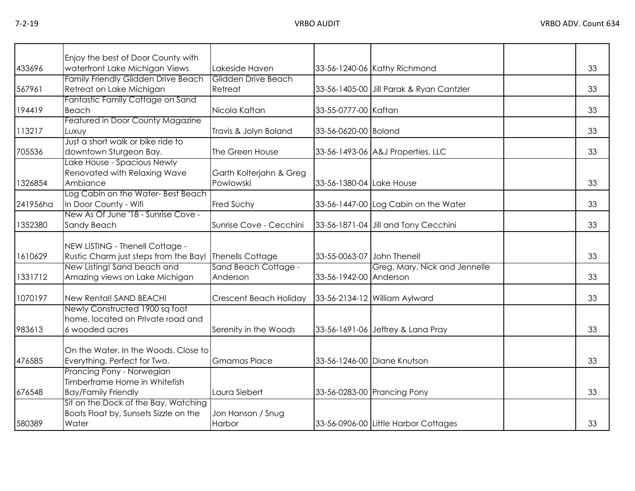|          | Enjoy the best of Door County with                                                        |                                      |                            |                                          |    |
|----------|-------------------------------------------------------------------------------------------|--------------------------------------|----------------------------|------------------------------------------|----|
| 433696   | waterfront Lake Michigan Views                                                            | Lakeside Haven                       |                            | 33-56-1240-06 Kathy Richmond             | 33 |
| 567961   | Family Friendly Glidden Drive Beach<br>Retreat on Lake Michigan                           | Glidden Drive Beach<br>Retreat       |                            | 33-56-1405-00 Jill Parak & Ryan Cantzler | 33 |
| 194419   | Fantastic Family Cottage on Sand<br>Beach                                                 | Nicola Kaftan                        | 33-55-0777-00 Kaftan       |                                          | 33 |
| 113217   | Featured in Door County Magazine<br>Luxuy                                                 | Travis & Jolyn Boland                | 33-56-0620-00 Boland       |                                          | 33 |
| 705536   | Just a short walk or bike ride to<br>downtown Sturgeon Bay.                               | The Green House                      |                            | 33-56-1493-06 A&J Properties, LLC        | 33 |
| 1326854  | Lake House - Spacious Newly<br>Renovated with Relaxing Wave<br>Ambiance                   | Garth Kolterjahn & Greg<br>Powlowski | 33-56-1380-04 Lake House   |                                          | 33 |
| 241956ha | Log Cabin on the Water-Best Beach<br>in Door County - Wifi                                | Fred Suchy                           |                            | 33-56-1447-00 Log Cabin on the Water     | 33 |
| 1352380  | New As Of June '18 - Sunrise Cove -<br>Sandy Beach                                        | Sunrise Cove - Cecchini              |                            | 33-56-1871-04 Jill and Tony Cecchini     | 33 |
| 1610629  | NEW LISTING - Thenell Cottage -<br>Rustic Charm just steps from the Bay! Thenells Cottage |                                      | 33-55-0063-07 John Thenell |                                          | 33 |
| 1331712  | New Listing! Sand beach and<br>Amazing views on Lake Michigan                             | Sand Beach Cottage -<br>Anderson     | 33-56-1942-00 Anderson     | Greg, Mary, Nick and Jennelle            | 33 |
| 1070197  | New Rental! SAND BEACH!                                                                   | Crescent Beach Holiday               |                            | 33-56-2134-12 William Aylward            | 33 |
| 983613   | Newly Constructed 1900 sq foot<br>home, located on Private road and<br>6 wooded acres     | Serenity in the Woods                |                            | 33-56-1691-06 Jeffrey & Lana Pray        | 33 |
| 476585   | On the Water, In the Woods, Close to<br>Everything. Perfect for Two.                      | <b>Gmamas Place</b>                  |                            | 33-56-1246-00 Diane Knutson              | 33 |
| 676548   | Prancing Pony - Norwegian<br>Timberframe Home in Whitefish<br><b>Bay/Family Friendly</b>  | Laura Siebert                        |                            | 33-56-0283-00 Prancing Pony              | 33 |
| 580389   | Sit on the Dock of the Bay, Watching<br>Boats Float by, Sunsets Sizzle on the<br>Water    | Jon Hanson / Snug<br>Harbor          |                            | 33-56-0906-00 Little Harbor Cottages     | 33 |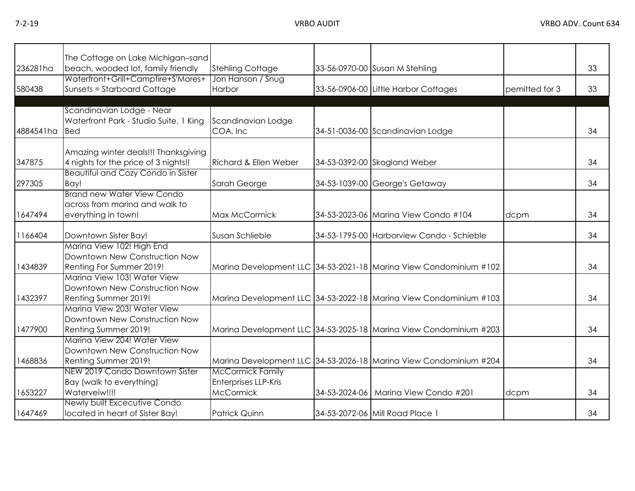7-2-19 VRBO AUDIT VRBO ADV. Count 634

| 236281ha  | The Cottage on Lake Michigan-sand<br>beach, wooded lot, family friendly | <b>Stehling Cottage</b>     | 33-56-0970-00 Susan M Stehling                                    |                | 33 |
|-----------|-------------------------------------------------------------------------|-----------------------------|-------------------------------------------------------------------|----------------|----|
|           | Waterfront+Grill+Campfire+S'Mores+                                      | Jon Hanson / Snug           |                                                                   |                |    |
| 580438    | <b>Sunsets = Starboard Cottage</b>                                      | Harbor                      | 33-56-0906-00 Little Harbor Cottages                              | pemitted for 3 | 33 |
|           |                                                                         |                             |                                                                   |                |    |
|           | Scandinavian Lodge - Near                                               |                             |                                                                   |                |    |
|           | Waterfront Park - Studio Suite, 1 King                                  | Scandinavian Lodge          |                                                                   |                |    |
| 4884541ha | <b>Bed</b>                                                              | COA, Inc                    | 34-51-0036-00 Scandinavian Lodge                                  |                | 34 |
|           |                                                                         |                             |                                                                   |                |    |
|           | Amazing winter deals!!! Thanksgiving                                    |                             |                                                                   |                |    |
| 347875    | 4 nights for the price of 3 nights!!                                    | Richard & Ellen Weber       | 34-53-0392-00 Skogland Weber                                      |                | 34 |
|           | <b>Beautiful and Cozy Condo in Sister</b>                               |                             |                                                                   |                |    |
| 297305    | Bay!                                                                    | Sarah George                | 34-53-1039-00 George's Getaway                                    |                | 34 |
|           | <b>Brand new Water View Condo</b>                                       |                             |                                                                   |                |    |
|           | across from marina and walk to                                          |                             |                                                                   |                |    |
| 1647494   | everything in town!                                                     | Max McCormick               | 34-53-2023-06 Marina View Condo #104                              | dcpm           | 34 |
|           |                                                                         |                             |                                                                   |                |    |
| 1166404   | Downtown Sister Bay!                                                    | Susan Schlieble             | 34-53-1795-00 Harborview Condo - Schieble                         |                | 34 |
|           | Marina View 102! High End                                               |                             |                                                                   |                |    |
|           | Downtown New Construction Now                                           |                             |                                                                   |                |    |
| 1434839   | Renting For Summer 2019!                                                |                             | Marina Development LLC 34-53-2021-18 Marina View Condominium #102 |                | 34 |
|           | Marina View 103! Water View                                             |                             |                                                                   |                |    |
|           | Downtown New Construction Now                                           |                             |                                                                   |                |    |
| 1432397   | Renting Summer 2019!                                                    |                             | Marina Development LLC 34-53-2022-18 Marina View Condominium #103 |                | 34 |
|           | Marina View 203! Water View                                             |                             |                                                                   |                |    |
|           | Downtown New Construction Now                                           |                             |                                                                   |                |    |
| 1477900   | Renting Summer 2019!                                                    |                             | Marina Development LLC 34-53-2025-18 Marina View Condominium #203 |                | 34 |
|           | Marina View 204! Water View                                             |                             |                                                                   |                |    |
|           | Downtown New Construction Now                                           |                             |                                                                   |                |    |
| 1468836   | Renting Summer 2019!                                                    |                             | Marina Development LLC 34-53-2026-18 Marina View Condominium #204 |                | 34 |
|           | NEW 2019 Condo Downtown Sister                                          | <b>McCormick Family</b>     |                                                                   |                |    |
|           | Bay (walk to everything)                                                | <b>Enterprises LLP-Kris</b> |                                                                   |                |    |
| 1653227   | Waterveiw!!!!                                                           | <b>McCormick</b>            | 34-53-2024-06   Marina View Condo #201                            | dcpm           | 34 |
|           | Newly built Excecutive Condo                                            |                             |                                                                   |                |    |
| 1647469   | located in heart of Sister Bay!                                         | <b>Patrick Quinn</b>        | 34-53-2072-06 Mill Road Place 1                                   |                | 34 |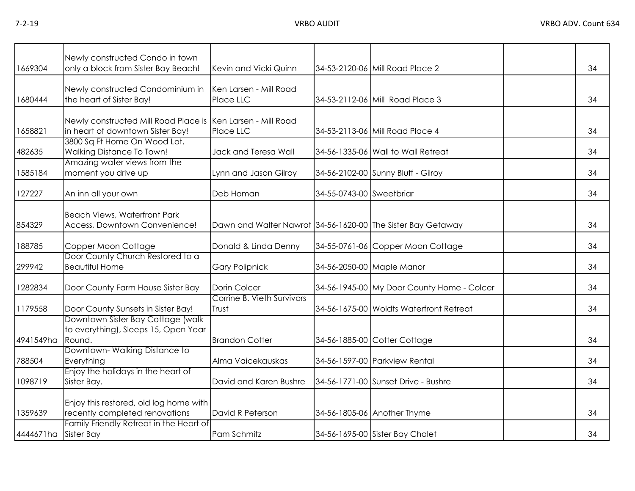| 1669304   | Newly constructed Condo in town<br>only a block from Sister Bay Beach!                          | Kevin and Vicki Quinn                                       |                          | 34-53-2120-06 Mill Road Place 2            | 34 |
|-----------|-------------------------------------------------------------------------------------------------|-------------------------------------------------------------|--------------------------|--------------------------------------------|----|
| 1680444   | Newly constructed Condominium in<br>the heart of Sister Bay!                                    | Ken Larsen - Mill Road<br>Place LLC                         |                          | 34-53-2112-06 Mill Road Place 3            | 34 |
| 1658821   | Newly constructed Mill Road Place is Ken Larsen - Mill Road<br>in heart of downtown Sister Bay! | Place LLC                                                   |                          | 34-53-2113-06 Mill Road Place 4            | 34 |
| 482635    | 3800 Sq Ft Home On Wood Lot,<br>Walking Distance To Town!                                       | Jack and Teresa Wall                                        |                          | 34-56-1335-06 Wall to Wall Retreat         | 34 |
| 1585184   | Amazing water views from the<br>moment you drive up                                             | Lynn and Jason Gilroy                                       |                          | 34-56-2102-00 Sunny Bluff - Gilroy         | 34 |
| 127227    | An inn all your own                                                                             | Deb Homan                                                   | 34-55-0743-00 Sweetbriar |                                            | 34 |
| 854329    | <b>Beach Views, Waterfront Park</b><br>Access, Downtown Convenience!                            | Dawn and Walter Nawrot 34-56-1620-00 The Sister Bay Getaway |                          |                                            | 34 |
| 188785    | Copper Moon Cottage                                                                             | Donald & Linda Denny                                        |                          | 34-55-0761-06 Copper Moon Cottage          | 34 |
| 299942    | Door County Church Restored to a<br><b>Beautiful Home</b>                                       | <b>Gary Polipnick</b>                                       |                          | 34-56-2050-00 Maple Manor                  | 34 |
| 1282834   | Door County Farm House Sister Bay                                                               | Dorin Colcer                                                |                          | 34-56-1945-00 My Door County Home - Colcer | 34 |
| 1179558   | Door County Sunsets in Sister Bay!                                                              | Corrine B. Vieth Survivors<br>Trust                         |                          | 34-56-1675-00 Woldts Waterfront Retreat    | 34 |
| 4941549ha | Downtown Sister Bay Cottage (walk)<br>to everything), Sleeps 15, Open Year<br>Round.            | <b>Brandon Cotter</b>                                       |                          | 34-56-1885-00 Cotter Cottage               | 34 |
| 788504    | Downtown-Walking Distance to<br>Everything                                                      | Alma Vaicekauskas                                           |                          | 34-56-1597-00 Parkview Rental              | 34 |
| 1098719   | Enjoy the holidays in the heart of<br>Sister Bay.                                               | David and Karen Bushre                                      |                          | 34-56-1771-00 Sunset Drive - Bushre        | 34 |
| 1359639   | Enjoy this restored, old log home with<br>recently completed renovations                        | David R Peterson                                            |                          | 34-56-1805-06 Another Thyme                | 34 |
| 4444671ha | Family Friendly Retreat in the Heart of<br><b>Sister Bay</b>                                    | Pam Schmitz                                                 |                          | 34-56-1695-00 Sister Bay Chalet            | 34 |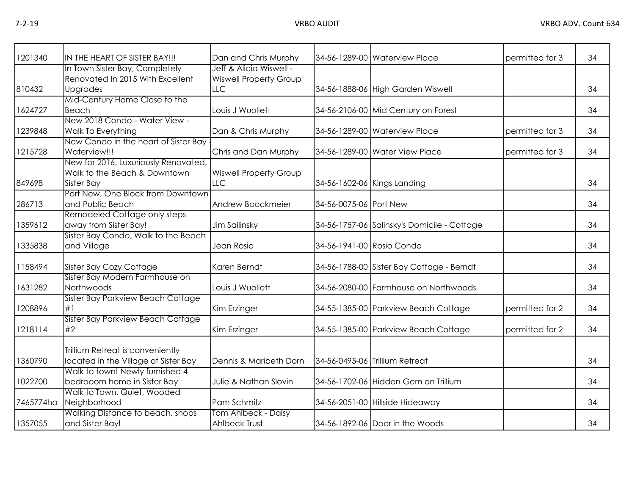| 1201340   | IN THE HEART OF SISTER BAY!!!                                                      | Dan and Chris Murphy                                     |                             | 34-56-1289-00 Waterview Place               | permitted for 3 | 34 |
|-----------|------------------------------------------------------------------------------------|----------------------------------------------------------|-----------------------------|---------------------------------------------|-----------------|----|
|           | In Town Sister Bay, Completely<br>Renovated In 2015 With Excellent                 | Jeff & Alicia Wiswell -<br><b>Wiswell Property Group</b> |                             |                                             |                 |    |
| 810432    | Upgrades                                                                           | LLC                                                      |                             | 34-56-1888-06 High Garden Wiswell           |                 | 34 |
| 1624727   | Mid-Century Home Close to the<br><b>Beach</b>                                      | Louis J Wuollett                                         |                             | 34-56-2106-00 Mid Century on Forest         |                 | 34 |
| 1239848   | New 2018 Condo - Water View -<br>Walk To Everything                                | Dan & Chris Murphy                                       |                             | 34-56-1289-00 Waterview Place               | permitted for 3 | 34 |
| 1215728   | New Condo in the heart of Sister Bay<br>Waterview!!!                               | Chris and Dan Murphy                                     |                             | 34-56-1289-00 Water View Place              | permitted for 3 | 34 |
| 849698    | New for 2016, Luxuriously Renovated,<br>Walk to the Beach & Downtown<br>Sister Bay | <b>Wiswell Property Group</b><br>LLC                     | 34-56-1602-06 Kings Landing |                                             |                 | 34 |
| 286713    | Port New, One Block from Downtown<br>and Public Beach                              | Andrew Boockmeier                                        | 34-56-0075-06 Port New      |                                             |                 | 34 |
| 1359612   | Remodeled Cottage only steps<br>away from Sister Bay!                              | Jim Sailinsky                                            |                             | 34-56-1757-06 Salinsky's Domicile - Cottage |                 | 34 |
| 1335838   | Sister Bay Condo, Walk to the Beach<br>and Village                                 | Jean Rosio                                               | 34-56-1941-00 Rosio Condo   |                                             |                 | 34 |
| 1158494   | Sister Bay Cozy Cottage                                                            | Karen Berndt                                             |                             | 34-56-1788-00 Sister Bay Cottage - Berndt   |                 | 34 |
| 1631282   | Sister Bay Modern Farmhouse on<br>Northwoods                                       | Louis J Wuollett                                         |                             | 34-56-2080-00 Farmhouse on Northwoods       |                 | 34 |
| 1208896   | Sister Bay Parkview Beach Cottage<br>#1                                            | Kim Erzinger                                             |                             | 34-55-1385-00 Parkview Beach Cottage        | permitted for 2 | 34 |
| 1218114   | Sister Bay Parkview Beach Cottage<br>#2                                            | Kim Erzinger                                             |                             | 34-55-1385-00 Parkview Beach Cottage        | permitted for 2 | 34 |
| 1360790   | Trillium Retreat is conveniently<br>located in the Village of Sister Bay           | Dennis & Maribeth Dorn                                   |                             | 34-56-0495-06 Trillium Retreat              |                 | 34 |
| 1022700   | Walk to town! Newly furnished 4<br>bedrooom home in Sister Bay                     | Julie & Nathan Slovin                                    |                             | 34-56-1702-06 Hidden Gem on Trillium        |                 | 34 |
| 7465774ha | Walk to Town, Quiet, Wooded<br>Neighborhood                                        | Pam Schmitz                                              |                             | 34-56-2051-00 Hillside Hideaway             |                 | 34 |
| 1357055   | Walking Distance to beach, shops<br>and Sister Bay!                                | Tom Ahlbeck - Daisy<br><b>Ahlbeck Trust</b>              |                             | 34-56-1892-06 Door in the Woods             |                 | 34 |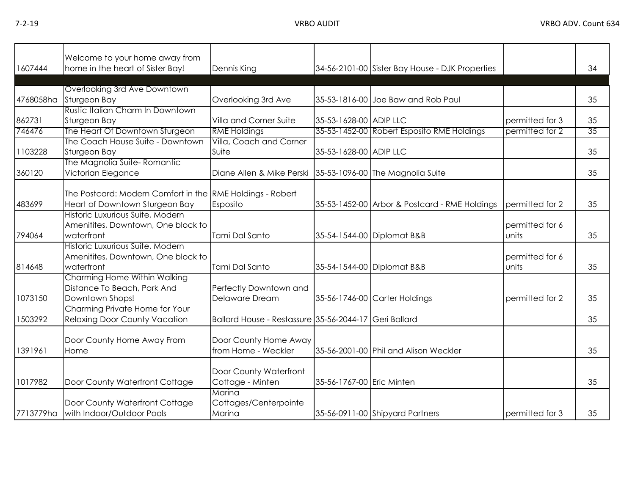|           | Welcome to your home away from                            |                                          |                           |                                                 |                 |    |
|-----------|-----------------------------------------------------------|------------------------------------------|---------------------------|-------------------------------------------------|-----------------|----|
| 1607444   | home in the heart of Sister Bay!                          | Dennis King                              |                           | 34-56-2101-00 Sister Bay House - DJK Properties |                 | 34 |
|           |                                                           |                                          |                           |                                                 |                 |    |
|           | Overlooking 3rd Ave Downtown                              |                                          |                           |                                                 |                 |    |
| 4768058ha | Sturgeon Bay                                              | Overlooking 3rd Ave                      |                           | 35-53-1816-00 Joe Baw and Rob Paul              |                 | 35 |
|           | Rustic Italian Charm In Downtown                          |                                          |                           |                                                 |                 |    |
| 862731    | Sturgeon Bay                                              | Villa and Corner Suite                   | 35-53-1628-00 ADIP LLC    |                                                 | permitted for 3 | 35 |
| 746476    | The Heart Of Downtown Sturgeon                            | <b>RME Holdings</b>                      |                           | 35-53-1452-00 Robert Esposito RME Holdings      | permitted for 2 | 35 |
|           | The Coach House Suite - Downtown                          | Villa, Coach and Corner                  |                           |                                                 |                 |    |
| 1103228   | Sturgeon Bay                                              | Suite                                    | 35-53-1628-00 ADIP LLC    |                                                 |                 | 35 |
|           | The Magnolia Suite-Romantic                               |                                          |                           |                                                 |                 |    |
| 360120    | Victorian Elegance                                        | Diane Allen & Mike Perski                |                           | 35-53-1096-00 The Magnolia Suite                |                 | 35 |
|           |                                                           |                                          |                           |                                                 |                 |    |
|           | The Postcard: Modern Comfort in the RME Holdings - Robert |                                          |                           |                                                 |                 |    |
| 483699    | Heart of Downtown Sturgeon Bay                            | Esposito                                 |                           | 35-53-1452-00 Arbor & Postcard - RME Holdings   | permitted for 2 | 35 |
|           | Historic Luxurious Suite, Modern                          |                                          |                           |                                                 |                 |    |
|           | Amenitites, Downtown, One block to                        |                                          |                           |                                                 | permitted for 6 |    |
| 794064    | waterfront                                                | Tami Dal Santo                           |                           | 35-54-1544-00 Diplomat B&B                      | units           | 35 |
|           | Historic Luxurious Suite, Modern                          |                                          |                           |                                                 |                 |    |
|           | Amenitites, Downtown, One block to                        |                                          |                           |                                                 | permitted for 6 |    |
| 814648    | waterfront                                                | Tami Dal Santo                           |                           | 35-54-1544-00 Diplomat B&B                      | units           | 35 |
|           | Charming Home Within Walking                              |                                          |                           |                                                 |                 |    |
|           | Distance To Beach, Park And                               | Perfectly Downtown and                   |                           |                                                 |                 |    |
| 1073150   | Downtown Shops!                                           | Delaware Dream                           |                           | 35-56-1746-00 Carter Holdings                   | permitted for 2 | 35 |
|           | Charming Private Home for Your                            |                                          |                           |                                                 |                 |    |
| 1503292   | <b>Relaxing Door County Vacation</b>                      | Ballard House - Restassure 35-56-2044-17 |                           | <b>Geri Ballard</b>                             |                 | 35 |
|           |                                                           |                                          |                           |                                                 |                 |    |
|           | Door County Home Away From                                | Door County Home Away                    |                           |                                                 |                 |    |
| 1391961   | Home                                                      | from Home - Weckler                      |                           | 35-56-2001-00 Phil and Alison Weckler           |                 | 35 |
|           |                                                           |                                          |                           |                                                 |                 |    |
|           |                                                           | Door County Waterfront                   |                           |                                                 |                 |    |
| 1017982   | Door County Waterfront Cottage                            | Cottage - Minten                         | 35-56-1767-00 Eric Minten |                                                 |                 | 35 |
|           |                                                           | Marina                                   |                           |                                                 |                 |    |
|           | Door County Waterfront Cottage                            | Cottages/Centerpointe                    |                           |                                                 |                 |    |
|           | 7713779ha with Indoor/Outdoor Pools                       | Marina                                   |                           | 35-56-0911-00 Shipyard Partners                 | permitted for 3 | 35 |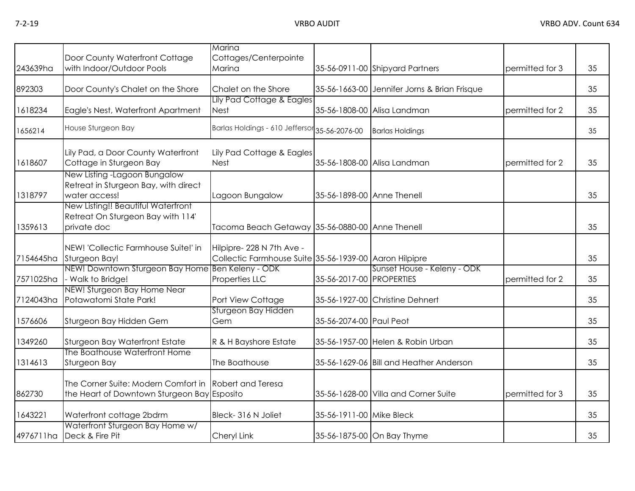|           |                                                                                                      | Marina                                                                             |                            |                                              |                 |    |
|-----------|------------------------------------------------------------------------------------------------------|------------------------------------------------------------------------------------|----------------------------|----------------------------------------------|-----------------|----|
|           | Door County Waterfront Cottage                                                                       | Cottages/Centerpointe                                                              |                            |                                              |                 |    |
| 243639ha  | with Indoor/Outdoor Pools                                                                            | Marina                                                                             |                            | 35-56-0911-00 Shipyard Partners              | permitted for 3 | 35 |
| 892303    | Door County's Chalet on the Shore                                                                    | Chalet on the Shore                                                                |                            | 35-56-1663-00 Jennifer Jorns & Brian Frisque |                 | 35 |
|           |                                                                                                      | Lily Pad Cottage & Eagles                                                          |                            |                                              |                 |    |
| 1618234   | Eagle's Nest, Waterfront Apartment                                                                   | <b>Nest</b>                                                                        | 35-56-1808-00              | Alisa Landman                                | permitted for 2 | 35 |
| 1656214   | House Sturgeon Bay                                                                                   | Barlas Holdings - 610 Jeffersor 35-56-2076-00                                      |                            | <b>Barlas Holdings</b>                       |                 | 35 |
| 1618607   | Lily Pad, a Door County Waterfront<br>Cottage in Sturgeon Bay                                        | Lily Pad Cottage & Eagles<br><b>Nest</b>                                           |                            | 35-56-1808-00 Alisa Landman                  | permitted for 2 | 35 |
| 1318797   | New Listing -Lagoon Bungalow<br>Retreat in Sturgeon Bay, with direct<br>water access!                | Lagoon Bungalow                                                                    | 35-56-1898-00 Anne Thenell |                                              |                 | 35 |
|           | New Listing!! Beautiful Waterfront<br>Retreat On Sturgeon Bay with 114'                              |                                                                                    |                            |                                              |                 |    |
| 1359613   | private doc                                                                                          | Tacoma Beach Getaway 35-56-0880-00 Anne Thenell                                    |                            |                                              |                 | 35 |
| 7154645ha | NEW! 'Collectic Farmhouse Suite!' in<br>Sturgeon Bay!                                                | Hilpipre-228 N 7th Ave -<br>Collectic Farmhouse Suite 35-56-1939-00 Aaron Hilpipre |                            |                                              |                 | 35 |
|           | NEW! Downtown Sturgeon Bay Home Ben Keleny - ODK                                                     |                                                                                    |                            | Sunset House - Keleny - ODK                  |                 |    |
| 7571025ha | - Walk to Bridge!                                                                                    | Properties LLC                                                                     | 35-56-2017-00 PROPERTIES   |                                              | permitted for 2 | 35 |
| 7124043ha | NEW! Sturgeon Bay Home Near<br>Potawatomi State Park!                                                | Port View Cottage                                                                  |                            | 35-56-1927-00 Christine Dehnert              |                 | 35 |
| 1576606   | Sturgeon Bay Hidden Gem                                                                              | Sturgeon Bay Hidden<br>Gem                                                         | 35-56-2074-00 Paul Peot    |                                              |                 | 35 |
| 1349260   | Sturgeon Bay Waterfront Estate                                                                       | R & H Bayshore Estate                                                              |                            | 35-56-1957-00 Helen & Robin Urban            |                 | 35 |
| 1314613   | The Boathouse Waterfront Home<br>Sturgeon Bay                                                        | The Boathouse                                                                      |                            | 35-56-1629-06 Bill and Heather Anderson      |                 | 35 |
| 862730    | The Corner Suite: Modern Comfort in Robert and Teresa<br>the Heart of Downtown Sturgeon Bay Esposito |                                                                                    |                            | 35-56-1628-00 Villa and Corner Suite         | permitted for 3 | 35 |
| 1643221   | Waterfront cottage 2bdrm                                                                             | Bleck-316 N Joliet                                                                 | 35-56-1911-00 Mike Bleck   |                                              |                 | 35 |
| 4976711ha | Waterfront Sturgeon Bay Home w/<br>Deck & Fire Pit                                                   | Cheryl Link                                                                        |                            | 35-56-1875-00 On Bay Thyme                   |                 | 35 |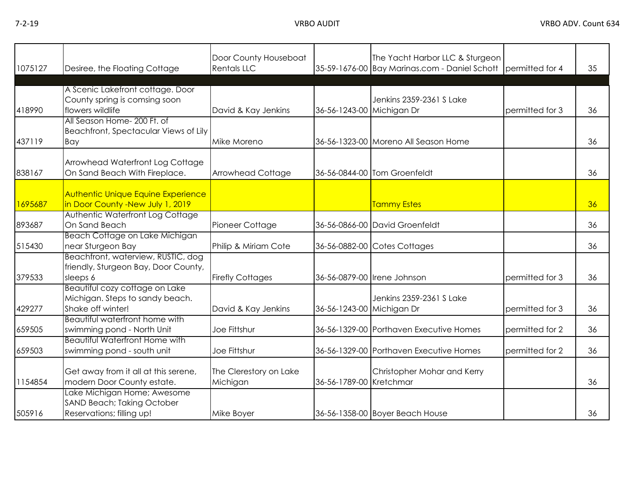| 1075127 | Desiree, the Floating Cottage                                                          | Door County Houseboat<br><b>Rentals LLC</b> |                           | The Yacht Harbor LLC & Sturgeon<br>35-59-1676-00 Bay Marinas.com - Daniel Schott permitted for 4 |                 | 35 |
|---------|----------------------------------------------------------------------------------------|---------------------------------------------|---------------------------|--------------------------------------------------------------------------------------------------|-----------------|----|
| 418990  | A Scenic Lakefront cottage. Door<br>County spring is comsing soon<br>flowers wildlife  | David & Kay Jenkins                         | 36-56-1243-00 Michigan Dr | Jenkins 2359-2361 S Lake                                                                         | permitted for 3 | 36 |
| 437119  | All Season Home- 200 Ft. of<br>Beachfront, Spectacular Views of Lily<br>Bay            | Mike Moreno                                 |                           | 36-56-1323-00 Moreno All Season Home                                                             |                 | 36 |
| 838167  | Arrowhead Waterfront Log Cottage<br>On Sand Beach With Fireplace.                      | Arrowhead Cottage                           |                           | 36-56-0844-00 Tom Groenfeldt                                                                     |                 | 36 |
| 1695687 | <b>Authentic Unique Equine Experience</b><br>in Door County -New July 1, 2019          |                                             |                           | Tammy Estes                                                                                      |                 | 36 |
| 893687  | Authentic Waterfront Log Cottage<br>On Sand Beach                                      | Pioneer Cottage                             |                           | 36-56-0866-00 David Groenfeldt                                                                   |                 | 36 |
| 515430  | Beach Cottage on Lake Michigan<br>near Sturgeon Bay                                    | Philip & Miriam Cote                        |                           | 36-56-0882-00 Cotes Cottages                                                                     |                 | 36 |
| 379533  | Beachfront, waterview, RUSTIC, dog<br>friendly, Sturgeon Bay, Door County,<br>sleeps 6 | <b>Firefly Cottages</b>                     |                           | 36-56-0879-00 Irene Johnson                                                                      | permitted for 3 | 36 |
| 429277  | Beautiful cozy cottage on Lake<br>Michigan. Steps to sandy beach.<br>Shake off winter! | David & Kay Jenkins                         | 36-56-1243-00 Michigan Dr | Jenkins 2359-2361 S Lake                                                                         | permitted for 3 | 36 |
| 659505  | Beautiful waterfront home with<br>swimming pond - North Unit                           | Joe Fittshur                                |                           | 36-56-1329-00 Porthaven Executive Homes                                                          | permitted for 2 | 36 |
| 659503  | <b>Beautiful Waterfront Home with</b><br>swimming pond - south unit                    | Joe Fittshur                                |                           | 36-56-1329-00 Porthaven Executive Homes                                                          | permitted for 2 | 36 |
| 1154854 | Get away from it all at this serene,<br>modern Door County estate.                     | The Clerestory on Lake<br>Michigan          | 36-56-1789-00 Kretchmar   | Christopher Mohar and Kerry                                                                      |                 | 36 |
| 505916  | Lake Michigan Home; Awesome<br>SAND Beach; Taking October<br>Reservations; filling up! | Mike Boyer                                  |                           | 36-56-1358-00 Boyer Beach House                                                                  |                 | 36 |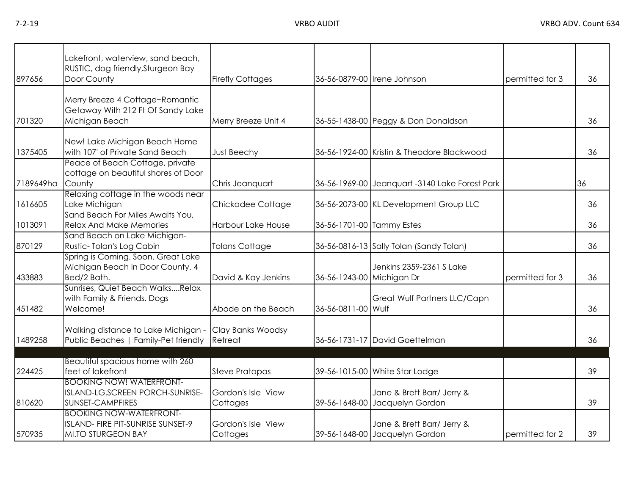|  | VRBO AUDIT |  |  |
|--|------------|--|--|
|  |            |  |  |

| 897656    | Lakefront, waterview, sand beach,<br>RUSTIC, dog friendly, Sturgeon Bay<br>Door County           | <b>Firefly Cottages</b>        |                           | 36-56-0879-00 Irene Johnson                                  | permitted for 3 | 36 |
|-----------|--------------------------------------------------------------------------------------------------|--------------------------------|---------------------------|--------------------------------------------------------------|-----------------|----|
|           |                                                                                                  |                                |                           |                                                              |                 |    |
| 701320    | Merry Breeze 4 Cottage~Romantic<br>Getaway With 212 Ft Of Sandy Lake<br>Michigan Beach           | Merry Breeze Unit 4            |                           | 36-55-1438-00 Peggy & Don Donaldson                          |                 | 36 |
| 1375405   | New! Lake Michigan Beach Home<br>with 107' of Private Sand Beach                                 | <b>Just Beechy</b>             |                           | 36-56-1924-00 Kristin & Theodore Blackwood                   |                 | 36 |
| 7189649ha | Peace of Beach Cottage, private<br>cottage on beautiful shores of Door<br>County                 | Chris Jeanquart                |                           | 36-56-1969-00 Jeanquart -3140 Lake Forest Park               |                 | 36 |
| 1616605   | Relaxing cottage in the woods near<br>Lake Michigan                                              | Chickadee Cottage              |                           | 36-56-2073-00 KL Development Group LLC                       |                 | 36 |
| 1013091   | Sand Beach For Miles Awaits You,<br><b>Relax And Make Memories</b>                               | Harbour Lake House             | 36-56-1701-00 Tammy Estes |                                                              |                 | 36 |
| 870129    | Sand Beach on Lake Michigan-<br>Rustic-Tolan's Log Cabin                                         | <b>Tolans Cottage</b>          |                           | 36-56-0816-13 Sally Tolan (Sandy Tolan)                      |                 | 36 |
| 433883    | Spring is Coming. Soon. Great Lake<br>Michigan Beach in Door County. 4<br>Bed/2 Bath.            | David & Kay Jenkins            | 36-56-1243-00 Michigan Dr | Jenkins 2359-2361 S Lake                                     | permitted for 3 | 36 |
| 451482    | Sunrises, Quiet Beach WalksRelax<br>with Family & Friends. Dogs<br>Welcome!                      | Abode on the Beach             | 36-56-0811-00 Wulf        | Great Wulf Partners LLC/Capn                                 |                 | 36 |
| 1489258   | Walking distance to Lake Michigan -<br>Public Beaches   Family-Pet friendly                      | Clay Banks Woodsy<br>Retreat   |                           | 36-56-1731-17 David Goettelman                               |                 | 36 |
|           | <b>Beautiful spacious home with 260</b>                                                          |                                |                           |                                                              |                 |    |
| 224425    | feet of lakefront                                                                                | <b>Steve Pratapas</b>          |                           | 39-56-1015-00 White Star Lodge                               |                 | 39 |
| 810620    | <b>BOOKING NOW! WATERFRONT-</b><br>ISLAND-LG.SCREEN PORCH-SUNRISE-<br>SUNSET-CAMPFIRES           | Gordon's Isle View<br>Cottages |                           | Jane & Brett Barr/ Jerry &<br>39-56-1648-00 Jacquelyn Gordon |                 | 39 |
| 570935    | <b>BOOKING NOW-WATERFRONT-</b><br>ISLAND- FIRE PIT-SUNRISE SUNSET-9<br><b>MI.TO STURGEON BAY</b> | Gordon's Isle View<br>Cottages |                           | Jane & Brett Barr/ Jerry &<br>39-56-1648-00 Jacquelyn Gordon | permitted for 2 | 39 |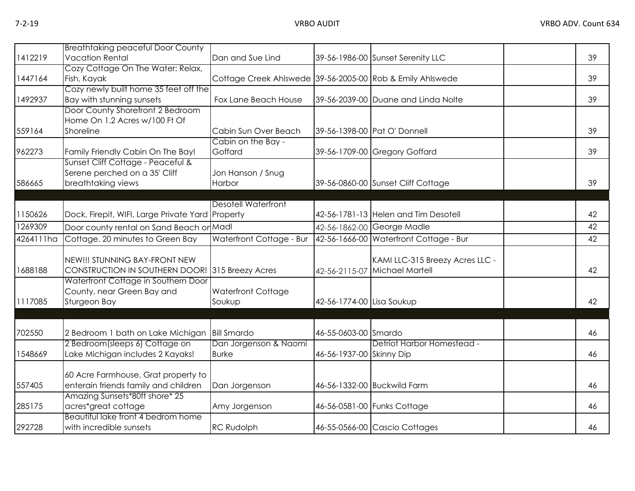|           | <b>Breathtaking peaceful Door County</b>         |                                                           |                           |                                        |    |
|-----------|--------------------------------------------------|-----------------------------------------------------------|---------------------------|----------------------------------------|----|
| 1412219   | <b>Vacation Rental</b>                           | Dan and Sue Lind                                          |                           | 39-56-1986-00 Sunset Serenity LLC      | 39 |
|           | Cozy Cottage On The Water: Relax,                |                                                           |                           |                                        |    |
| 1447164   | Fish, Kayak                                      | Cottage Creek Ahlswede 39-56-2005-00 Rob & Emily Ahlswede |                           |                                        | 39 |
|           | Cozy newly built home 35 feet off the            |                                                           |                           |                                        |    |
| 1492937   | Bay with stunning sunsets                        | Fox Lane Beach House                                      |                           | 39-56-2039-00 Duane and Linda Nolte    | 39 |
|           | Door County Shorefront 2 Bedroom                 |                                                           |                           |                                        |    |
|           | Home On 1.2 Acres w/100 Ft Of                    |                                                           |                           |                                        |    |
| 559164    | Shoreline                                        | Cabin Sun Over Beach                                      |                           | 39-56-1398-00 Pat O' Donnell           | 39 |
|           |                                                  | Cabin on the Bay -                                        |                           |                                        |    |
| 962273    | Family Friendly Cabin On The Bay!                | Goffard                                                   |                           | 39-56-1709-00 Gregory Goffard          | 39 |
|           | Sunset Cliff Cottage - Peaceful &                |                                                           |                           |                                        |    |
|           | Serene perched on a 35' Cliff                    | Jon Hanson / Snug                                         |                           |                                        |    |
| 586665    | breathtaking views                               | Harbor                                                    |                           | 39-56-0860-00 Sunset Cliff Cottage     | 39 |
|           |                                                  |                                                           |                           |                                        |    |
|           |                                                  | <b>Desotell Waterfront</b>                                |                           |                                        |    |
| 1150626   | Dock, Firepit, WIFI, Large Private Yard Property |                                                           |                           | 42-56-1781-13 Helen and Tim Desotell   | 42 |
| 1269309   | Door county rental on Sand Beach or Madl         |                                                           |                           | 42-56-1862-00 George Madle             | 42 |
| 4264111ha | Cottage. 20 minutes to Green Bay                 | Waterfront Cottage - Bur                                  |                           | 42-56-1666-00 Waterfront Cottage - Bur | 42 |
|           |                                                  |                                                           |                           |                                        |    |
|           | NEW!!! STUNNING BAY-FRONT NEW                    |                                                           |                           | KAMI LLC-315 Breezy Acres LLC -        |    |
| 1688188   | CONSTRUCTION IN SOUTHERN DOOR! 315 Breezy Acres  |                                                           |                           | 42-56-2115-07 Michael Martell          | 42 |
|           | Waterfront Cottage in Southern Door              |                                                           |                           |                                        |    |
|           | County, near Green Bay and                       | <b>Waterfront Cottage</b>                                 |                           |                                        |    |
| 1117085   | Sturgeon Bay                                     | Soukup                                                    | 42-56-1774-00 Lisa Soukup |                                        | 42 |
|           |                                                  |                                                           |                           |                                        |    |
| 702550    | 2 Bedroom 1 bath on Lake Michigan                | <b>Bill Smardo</b>                                        | 46-55-0603-00 Smardo      |                                        | 46 |
|           | 2 Bedroom(sleeps 6) Cottage on                   | Dan Jorgenson & Naomi                                     |                           | Detriot Harbor Homestead -             |    |
| 1548669   | Lake Michigan includes 2 Kayaks!                 | <b>Burke</b>                                              | 46-56-1937-00 Skinny Dip  |                                        | 46 |
|           |                                                  |                                                           |                           |                                        |    |
|           | 60 Acre Farmhouse, Grat property to              |                                                           |                           |                                        |    |
| 557405    | enterain friends family and children             | Dan Jorgenson                                             |                           | 46-56-1332-00 Buckwild Farm            | 46 |
|           | Amazing Sunsets*80ft shore* 25                   |                                                           |                           |                                        |    |
| 285175    | acres*great cottage                              | Amy Jorgenson                                             |                           | 46-56-0581-00 Funks Cottage            | 46 |
|           | Beautiful lake front 4 bedrom home               |                                                           |                           |                                        |    |
| 292728    | with incredible sunsets                          | <b>RC Rudolph</b>                                         |                           | 46-55-0566-00 Cascio Cottages          | 46 |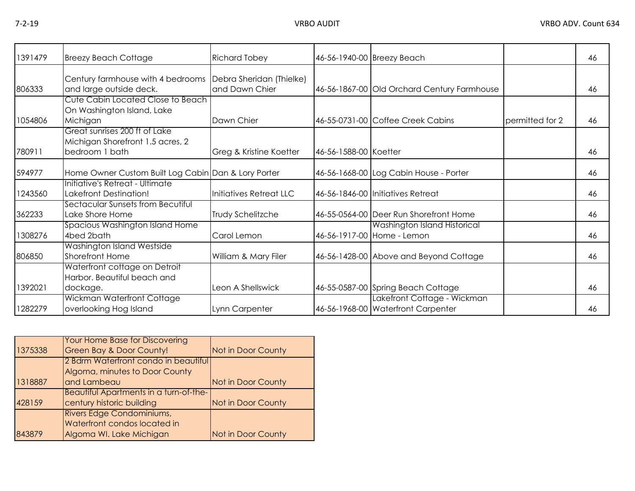| 1391479 | <b>Breezy Beach Cottage</b>                                                         | <b>Richard Tobey</b>                       |                       | 46-56-1940-00 Breezy Beach                                        |                 | 46 |
|---------|-------------------------------------------------------------------------------------|--------------------------------------------|-----------------------|-------------------------------------------------------------------|-----------------|----|
| 806333  | Century farmhouse with 4 bedrooms<br>and large outside deck.                        | Debra Sheridan (Thielke)<br>and Dawn Chier |                       | 46-56-1867-00 Old Orchard Century Farmhouse                       |                 | 46 |
| 1054806 | Cute Cabin Located Close to Beach<br>On Washington Island, Lake<br>Michigan         | Dawn Chier                                 |                       | 46-55-0731-00 Coffee Creek Cabins                                 | permitted for 2 | 46 |
| 780911  | Great sunrises 200 ft of Lake<br>Michigan Shorefront 1.5 acres, 2<br>bedroom 1 bath | Greg & Kristine Koetter                    | 46-56-1588-00 Koetter |                                                                   |                 | 46 |
| 594977  | Home Owner Custom Built Log Cabin Dan & Lory Porter                                 |                                            |                       | 46-56-1668-00 Log Cabin House - Porter                            |                 | 46 |
| 1243560 | Initiative's Retreat - Ultimate<br>Lakefront Destination!                           | Initiatives Retreat LLC                    |                       | 46-56-1846-00 Initiatives Retreat                                 |                 | 46 |
| 362233  | Sectacular Sunsets from Becutiful<br>Lake Shore Home                                | Trudy Schelitzche                          |                       | 46-55-0564-00 Deer Run Shorefront Home                            |                 | 46 |
| 1308276 | <b>Spacious Washington Island Home</b><br>4bed 2bath                                | Carol Lemon                                |                       | Washington Island Historical<br>46-56-1917-00 Home - Lemon        |                 | 46 |
| 806850  | Washington Island Westside<br>Shorefront Home                                       | William & Mary Filer                       |                       | 46-56-1428-00 Above and Beyond Cottage                            |                 | 46 |
| 1392021 | Waterfront cottage on Detroit<br>Harbor. Beautiful beach and<br>dockage.            | Leon A Shellswick                          |                       | 46-55-0587-00 Spring Beach Cottage                                |                 | 46 |
| 1282279 | <b>Wickman Waterfront Cottage</b><br>overlooking Hog Island                         | Lynn Carpenter                             |                       | Lakefront Cottage - Wickman<br>46-56-1968-00 Waterfront Carpenter |                 | 46 |

|         | Your Home Base for Discovering         |                    |
|---------|----------------------------------------|--------------------|
| 1375338 | <b>Green Bay &amp; Door County!</b>    | Not in Door County |
|         | 2 Bdrm Waterfront condo in beautiful   |                    |
|         | Algoma, minutes to Door County         |                    |
| 1318887 | and Lambeau                            | Not in Door County |
|         | Beautiful Apartments in a turn-of-the- |                    |
| 428159  | century historic building              | Not in Door County |
|         | Rivers Edge Condominiums,              |                    |
|         | Waterfront condos located in           |                    |
| 843879  | Algoma WI. Lake Michigan               | Not in Door County |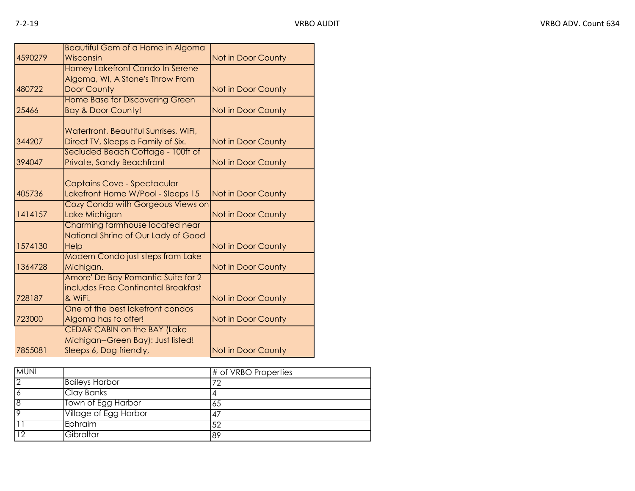|         | Beautiful Gem of a Home in Algoma        |                           |
|---------|------------------------------------------|---------------------------|
| 4590279 | Wisconsin                                | Not in Door County        |
|         | Homey Lakefront Condo In Serene          |                           |
|         | Algoma, WI, A Stone's Throw From         |                           |
| 480722  | <b>Door County</b>                       | Not in Door County        |
|         | Home Base for Discovering Green          |                           |
| 25466   | <b>Bay &amp; Door County!</b>            | Not in Door County        |
|         |                                          |                           |
|         | Waterfront, Beautiful Sunrises, WIFI,    |                           |
| 344207  | Direct TV, Sleeps a Family of Six.       | <b>Not in Door County</b> |
| 394047  | Secluded Beach Cottage - 100ft of        |                           |
|         | Private, Sandy Beachfront                | Not in Door County        |
|         | Captains Cove - Spectacular              |                           |
| 405736  | Lakefront Home W/Pool - Sleeps 15        | Not in Door County        |
|         | Cozy Condo with Gorgeous Views on        |                           |
| 1414157 | Lake Michigan                            | Not in Door County        |
|         | Charming farmhouse located near          |                           |
|         | National Shrine of Our Lady of Good      |                           |
| 1574130 | Help                                     | Not in Door County        |
|         | <b>Modern Condo just steps from Lake</b> |                           |
| 1364728 | Michigan.                                | Not in Door County        |
|         | Amore' De Bay Romantic Suite for 2       |                           |
|         | includes Free Continental Breakfast      |                           |
| 728187  | & WiFi.                                  | Not in Door County        |
|         | One of the best lakefront condos         |                           |
| 723000  | Algoma has to offer!                     | Not in Door County        |
|         | <b>CEDAR CABIN on the BAY (Lake</b>      |                           |
|         | Michigan--Green Bay): Just listed!       |                           |
| 7855081 | Sleeps 6, Dog friendly,                  | Not in Door County        |

| <b>MUNI</b>     |                       | # of VRBO Properties |
|-----------------|-----------------------|----------------------|
| $\overline{2}$  | <b>Baileys Harbor</b> | 72                   |
| $\overline{6}$  | Clay Banks            |                      |
| 8               | Town of Egg Harbor    | 65                   |
| $\overline{Q}$  | Village of Egg Harbor | 47                   |
|                 | Ephraim               | 52                   |
| $\overline{10}$ | Gibraltar             | 89                   |